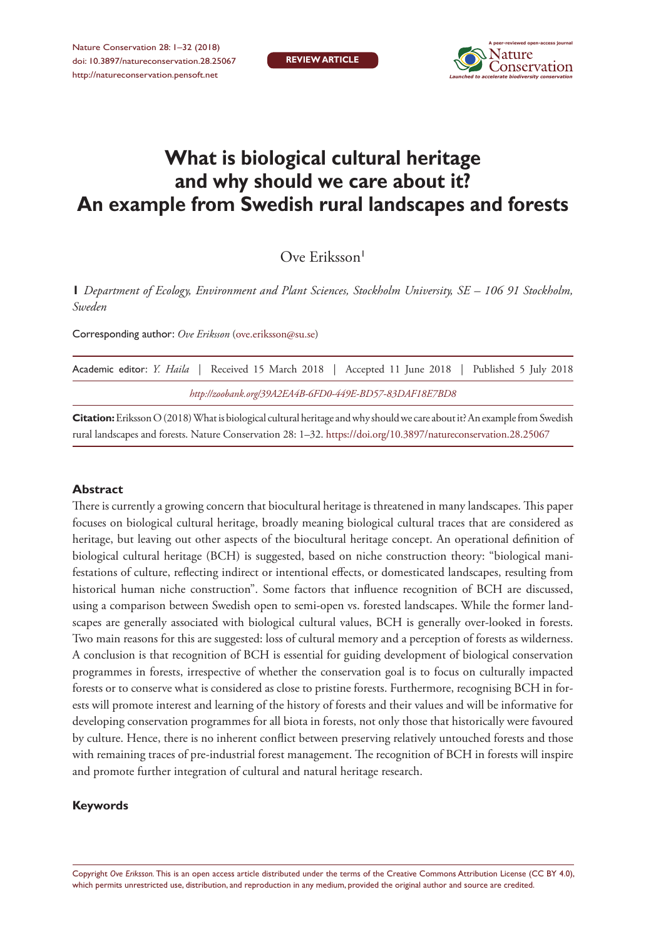

# **What is biological cultural heritage and why should we care about it? An example from Swedish rural landscapes and forests**

Ove Eriksson<sup>1</sup>

**1** *Department of Ecology, Environment and Plant Sciences, Stockholm University, SE – 106 91 Stockholm, Sweden*

Corresponding author: *Ove Eriksson* ([ove.eriksson@su.se](mailto:ove.eriksson@su.se))

|                                                         |  |  |  |  |  |  |  |  |  |  |  |  |  | Academic editor: <i>Y. Haila</i>   Received 15 March 2018   Accepted 11 June 2018   Published 5 July 2018 |  |  |
|---------------------------------------------------------|--|--|--|--|--|--|--|--|--|--|--|--|--|-----------------------------------------------------------------------------------------------------------|--|--|
| http://zoobank.org/39A2EA4B-6FD0-449E-BD57-83DAF18E7BD8 |  |  |  |  |  |  |  |  |  |  |  |  |  |                                                                                                           |  |  |

**Citation:** Eriksson O (2018) What is biological cultural heritage and why should we care about it? An example from Swedish rural landscapes and forests. Nature Conservation 28: 1–32.<https://doi.org/10.3897/natureconservation.28.25067>

#### **Abstract**

There is currently a growing concern that biocultural heritage is threatened in many landscapes. This paper focuses on biological cultural heritage, broadly meaning biological cultural traces that are considered as heritage, but leaving out other aspects of the biocultural heritage concept. An operational definition of biological cultural heritage (BCH) is suggested, based on niche construction theory: "biological manifestations of culture, reflecting indirect or intentional effects, or domesticated landscapes, resulting from historical human niche construction". Some factors that influence recognition of BCH are discussed, using a comparison between Swedish open to semi-open vs. forested landscapes. While the former landscapes are generally associated with biological cultural values, BCH is generally over-looked in forests. Two main reasons for this are suggested: loss of cultural memory and a perception of forests as wilderness. A conclusion is that recognition of BCH is essential for guiding development of biological conservation programmes in forests, irrespective of whether the conservation goal is to focus on culturally impacted forests or to conserve what is considered as close to pristine forests. Furthermore, recognising BCH in forests will promote interest and learning of the history of forests and their values and will be informative for developing conservation programmes for all biota in forests, not only those that historically were favoured by culture. Hence, there is no inherent conflict between preserving relatively untouched forests and those with remaining traces of pre-industrial forest management. The recognition of BCH in forests will inspire and promote further integration of cultural and natural heritage research.

## **Keywords**

Copyright *Ove Eriksson.* This is an open access article distributed under the terms of the [Creative Commons Attribution License \(CC BY 4.0\),](http://creativecommons.org/licenses/by/4.0/) which permits unrestricted use, distribution, and reproduction in any medium, provided the original author and source are credited.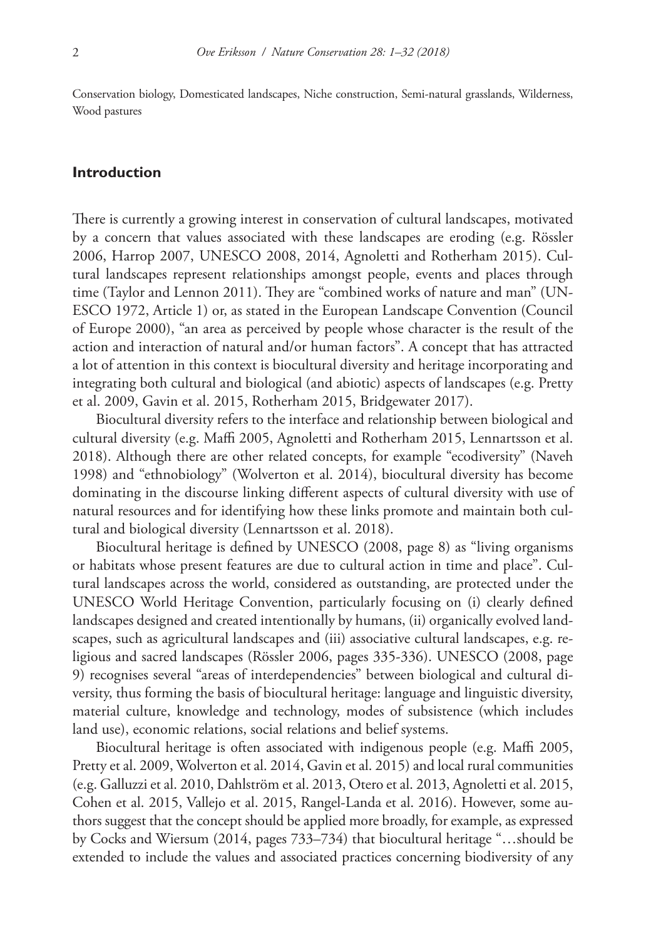Conservation biology, Domesticated landscapes, Niche construction, Semi-natural grasslands, Wilderness, Wood pastures

## **Introduction**

There is currently a growing interest in conservation of cultural landscapes, motivated by a concern that values associated with these landscapes are eroding (e.g. Rössler 2006, Harrop 2007, UNESCO 2008, 2014, Agnoletti and Rotherham 2015). Cultural landscapes represent relationships amongst people, events and places through time (Taylor and Lennon 2011). They are "combined works of nature and man" (UN-ESCO 1972, Article 1) or, as stated in the European Landscape Convention (Council of Europe 2000), "an area as perceived by people whose character is the result of the action and interaction of natural and/or human factors". A concept that has attracted a lot of attention in this context is biocultural diversity and heritage incorporating and integrating both cultural and biological (and abiotic) aspects of landscapes (e.g. Pretty et al. 2009, Gavin et al. 2015, Rotherham 2015, Bridgewater 2017).

Biocultural diversity refers to the interface and relationship between biological and cultural diversity (e.g. Maffi 2005, Agnoletti and Rotherham 2015, Lennartsson et al. 2018). Although there are other related concepts, for example "ecodiversity" (Naveh 1998) and "ethnobiology" (Wolverton et al. 2014), biocultural diversity has become dominating in the discourse linking different aspects of cultural diversity with use of natural resources and for identifying how these links promote and maintain both cultural and biological diversity (Lennartsson et al. 2018).

Biocultural heritage is defined by UNESCO (2008, page 8) as "living organisms or habitats whose present features are due to cultural action in time and place". Cultural landscapes across the world, considered as outstanding, are protected under the UNESCO World Heritage Convention, particularly focusing on (i) clearly defined landscapes designed and created intentionally by humans, (ii) organically evolved landscapes, such as agricultural landscapes and (iii) associative cultural landscapes, e.g. religious and sacred landscapes (Rössler 2006, pages 335-336). UNESCO (2008, page 9) recognises several "areas of interdependencies" between biological and cultural diversity, thus forming the basis of biocultural heritage: language and linguistic diversity, material culture, knowledge and technology, modes of subsistence (which includes land use), economic relations, social relations and belief systems.

Biocultural heritage is often associated with indigenous people (e.g. Maffi 2005, Pretty et al. 2009, Wolverton et al. 2014, Gavin et al. 2015) and local rural communities (e.g. Galluzzi et al. 2010, Dahlström et al. 2013, Otero et al. 2013, Agnoletti et al. 2015, Cohen et al. 2015, Vallejo et al. 2015, Rangel-Landa et al. 2016). However, some authors suggest that the concept should be applied more broadly, for example, as expressed by Cocks and Wiersum (2014, pages 733–734) that biocultural heritage "…should be extended to include the values and associated practices concerning biodiversity of any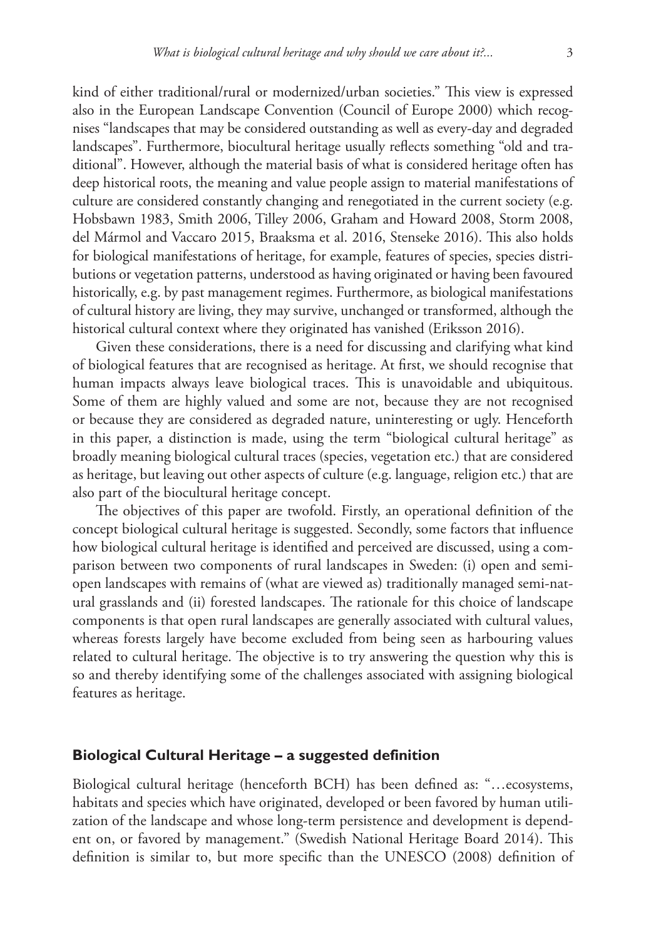kind of either traditional/rural or modernized/urban societies." This view is expressed also in the European Landscape Convention (Council of Europe 2000) which recognises "landscapes that may be considered outstanding as well as every-day and degraded landscapes". Furthermore, biocultural heritage usually reflects something "old and traditional". However, although the material basis of what is considered heritage often has deep historical roots, the meaning and value people assign to material manifestations of culture are considered constantly changing and renegotiated in the current society (e.g. Hobsbawn 1983, Smith 2006, Tilley 2006, Graham and Howard 2008, Storm 2008, del Mármol and Vaccaro 2015, Braaksma et al. 2016, Stenseke 2016). This also holds for biological manifestations of heritage, for example, features of species, species distributions or vegetation patterns, understood as having originated or having been favoured historically, e.g. by past management regimes. Furthermore, as biological manifestations of cultural history are living, they may survive, unchanged or transformed, although the historical cultural context where they originated has vanished (Eriksson 2016).

Given these considerations, there is a need for discussing and clarifying what kind of biological features that are recognised as heritage. At first, we should recognise that human impacts always leave biological traces. This is unavoidable and ubiquitous. Some of them are highly valued and some are not, because they are not recognised or because they are considered as degraded nature, uninteresting or ugly. Henceforth in this paper, a distinction is made, using the term "biological cultural heritage" as broadly meaning biological cultural traces (species, vegetation etc.) that are considered as heritage, but leaving out other aspects of culture (e.g. language, religion etc.) that are also part of the biocultural heritage concept.

The objectives of this paper are twofold. Firstly, an operational definition of the concept biological cultural heritage is suggested. Secondly, some factors that influence how biological cultural heritage is identified and perceived are discussed, using a comparison between two components of rural landscapes in Sweden: (i) open and semiopen landscapes with remains of (what are viewed as) traditionally managed semi-natural grasslands and (ii) forested landscapes. The rationale for this choice of landscape components is that open rural landscapes are generally associated with cultural values, whereas forests largely have become excluded from being seen as harbouring values related to cultural heritage. The objective is to try answering the question why this is so and thereby identifying some of the challenges associated with assigning biological features as heritage.

## **Biological Cultural Heritage – a suggested definition**

Biological cultural heritage (henceforth BCH) has been defined as: "…ecosystems, habitats and species which have originated, developed or been favored by human utilization of the landscape and whose long-term persistence and development is dependent on, or favored by management." (Swedish National Heritage Board 2014). This definition is similar to, but more specific than the UNESCO (2008) definition of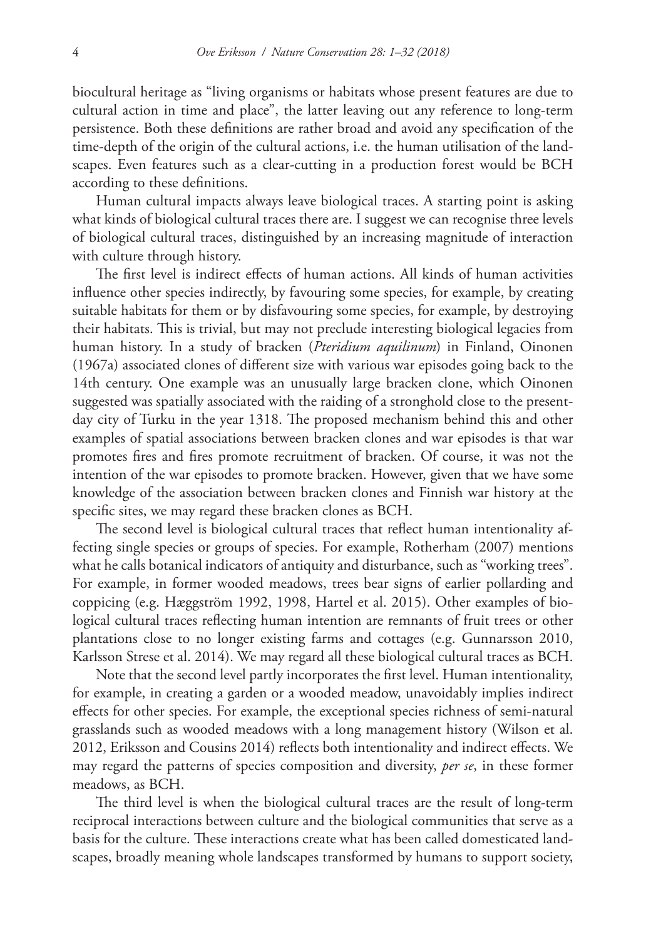biocultural heritage as "living organisms or habitats whose present features are due to cultural action in time and place", the latter leaving out any reference to long-term persistence. Both these definitions are rather broad and avoid any specification of the time-depth of the origin of the cultural actions, i.e. the human utilisation of the landscapes. Even features such as a clear-cutting in a production forest would be BCH according to these definitions.

Human cultural impacts always leave biological traces. A starting point is asking what kinds of biological cultural traces there are. I suggest we can recognise three levels of biological cultural traces, distinguished by an increasing magnitude of interaction with culture through history.

The first level is indirect effects of human actions. All kinds of human activities influence other species indirectly, by favouring some species, for example, by creating suitable habitats for them or by disfavouring some species, for example, by destroying their habitats. This is trivial, but may not preclude interesting biological legacies from human history. In a study of bracken (*Pteridium aquilinum*) in Finland, Oinonen (1967a) associated clones of different size with various war episodes going back to the 14th century. One example was an unusually large bracken clone, which Oinonen suggested was spatially associated with the raiding of a stronghold close to the presentday city of Turku in the year 1318. The proposed mechanism behind this and other examples of spatial associations between bracken clones and war episodes is that war promotes fires and fires promote recruitment of bracken. Of course, it was not the intention of the war episodes to promote bracken. However, given that we have some knowledge of the association between bracken clones and Finnish war history at the specific sites, we may regard these bracken clones as BCH.

The second level is biological cultural traces that reflect human intentionality affecting single species or groups of species. For example, Rotherham (2007) mentions what he calls botanical indicators of antiquity and disturbance, such as "working trees". For example, in former wooded meadows, trees bear signs of earlier pollarding and coppicing (e.g. Hæggström 1992, 1998, Hartel et al. 2015). Other examples of biological cultural traces reflecting human intention are remnants of fruit trees or other plantations close to no longer existing farms and cottages (e.g. Gunnarsson 2010, Karlsson Strese et al. 2014). We may regard all these biological cultural traces as BCH.

Note that the second level partly incorporates the first level. Human intentionality, for example, in creating a garden or a wooded meadow, unavoidably implies indirect effects for other species. For example, the exceptional species richness of semi-natural grasslands such as wooded meadows with a long management history (Wilson et al. 2012, Eriksson and Cousins 2014) reflects both intentionality and indirect effects. We may regard the patterns of species composition and diversity, *per se*, in these former meadows, as BCH.

The third level is when the biological cultural traces are the result of long-term reciprocal interactions between culture and the biological communities that serve as a basis for the culture. These interactions create what has been called domesticated landscapes, broadly meaning whole landscapes transformed by humans to support society,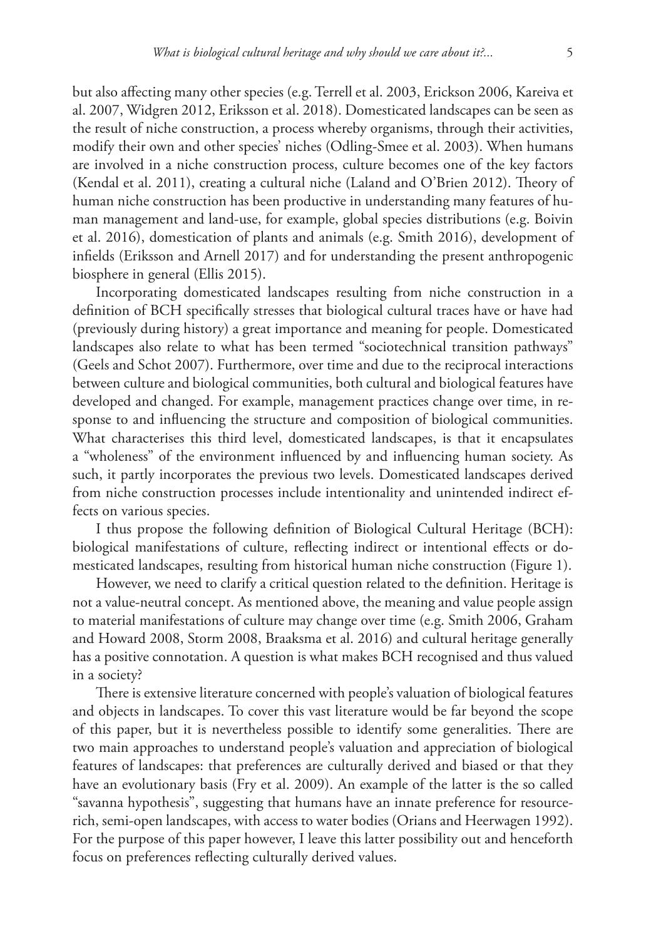but also affecting many other species (e.g. Terrell et al. 2003, Erickson 2006, Kareiva et al. 2007, Widgren 2012, Eriksson et al. 2018). Domesticated landscapes can be seen as the result of niche construction, a process whereby organisms, through their activities, modify their own and other species' niches (Odling-Smee et al. 2003). When humans are involved in a niche construction process, culture becomes one of the key factors (Kendal et al. 2011), creating a cultural niche (Laland and O'Brien 2012). Theory of human niche construction has been productive in understanding many features of human management and land-use, for example, global species distributions (e.g. Boivin et al. 2016), domestication of plants and animals (e.g. Smith 2016), development of infields (Eriksson and Arnell 2017) and for understanding the present anthropogenic biosphere in general (Ellis 2015).

Incorporating domesticated landscapes resulting from niche construction in a definition of BCH specifically stresses that biological cultural traces have or have had (previously during history) a great importance and meaning for people. Domesticated landscapes also relate to what has been termed "sociotechnical transition pathways" (Geels and Schot 2007). Furthermore, over time and due to the reciprocal interactions between culture and biological communities, both cultural and biological features have developed and changed. For example, management practices change over time, in response to and influencing the structure and composition of biological communities. What characterises this third level, domesticated landscapes, is that it encapsulates a "wholeness" of the environment influenced by and influencing human society. As such, it partly incorporates the previous two levels. Domesticated landscapes derived from niche construction processes include intentionality and unintended indirect effects on various species.

I thus propose the following definition of Biological Cultural Heritage (BCH): biological manifestations of culture, reflecting indirect or intentional effects or domesticated landscapes, resulting from historical human niche construction (Figure 1).

However, we need to clarify a critical question related to the definition. Heritage is not a value-neutral concept. As mentioned above, the meaning and value people assign to material manifestations of culture may change over time (e.g. Smith 2006, Graham and Howard 2008, Storm 2008, Braaksma et al. 2016) and cultural heritage generally has a positive connotation. A question is what makes BCH recognised and thus valued in a society?

There is extensive literature concerned with people's valuation of biological features and objects in landscapes. To cover this vast literature would be far beyond the scope of this paper, but it is nevertheless possible to identify some generalities. There are two main approaches to understand people's valuation and appreciation of biological features of landscapes: that preferences are culturally derived and biased or that they have an evolutionary basis (Fry et al. 2009). An example of the latter is the so called "savanna hypothesis", suggesting that humans have an innate preference for resourcerich, semi-open landscapes, with access to water bodies (Orians and Heerwagen 1992). For the purpose of this paper however, I leave this latter possibility out and henceforth focus on preferences reflecting culturally derived values.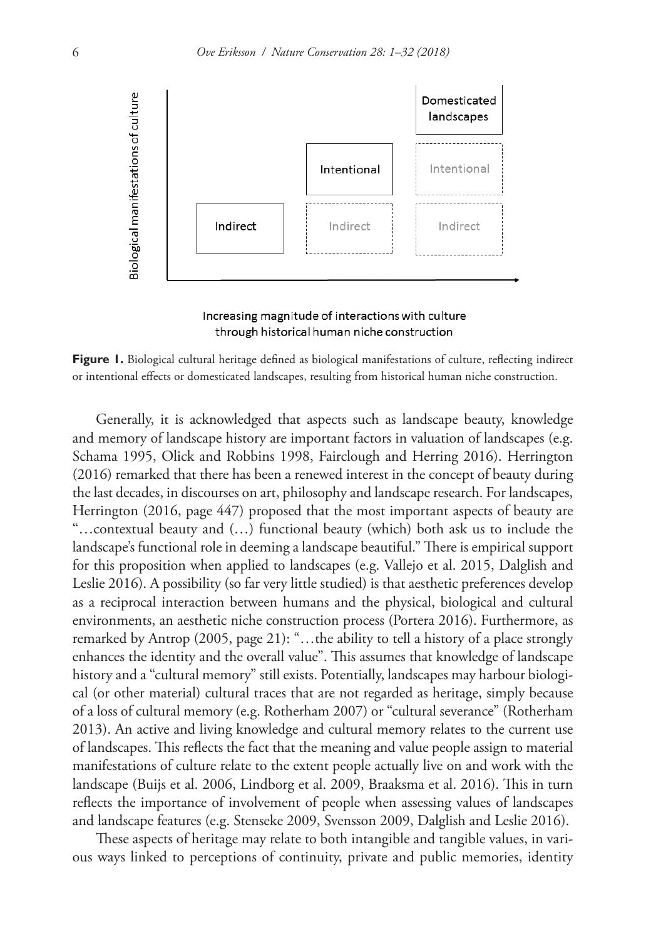

Increasing magnitude of interactions with culture through historical human niche construction

**Figure 1.** Biological cultural heritage defined as biological manifestations of culture, reflecting indirect or intentional effects or domesticated landscapes, resulting from historical human niche construction.

Generally, it is acknowledged that aspects such as landscape beauty, knowledge and memory of landscape history are important factors in valuation of landscapes (e.g. Schama 1995, Olick and Robbins 1998, Fairclough and Herring 2016). Herrington (2016) remarked that there has been a renewed interest in the concept of beauty during the last decades, in discourses on art, philosophy and landscape research. For landscapes, Herrington (2016, page 447) proposed that the most important aspects of beauty are "…contextual beauty and (…) functional beauty (which) both ask us to include the landscape's functional role in deeming a landscape beautiful." There is empirical support for this proposition when applied to landscapes (e.g. Vallejo et al. 2015, Dalglish and Leslie 2016). A possibility (so far very little studied) is that aesthetic preferences develop as a reciprocal interaction between humans and the physical, biological and cultural environments, an aesthetic niche construction process (Portera 2016). Furthermore, as remarked by Antrop (2005, page 21): "…the ability to tell a history of a place strongly enhances the identity and the overall value". This assumes that knowledge of landscape history and a "cultural memory" still exists. Potentially, landscapes may harbour biological (or other material) cultural traces that are not regarded as heritage, simply because of a loss of cultural memory (e.g. Rotherham 2007) or "cultural severance" (Rotherham 2013). An active and living knowledge and cultural memory relates to the current use of landscapes. This reflects the fact that the meaning and value people assign to material manifestations of culture relate to the extent people actually live on and work with the landscape (Buijs et al. 2006, Lindborg et al. 2009, Braaksma et al. 2016). This in turn reflects the importance of involvement of people when assessing values of landscapes and landscape features (e.g. Stenseke 2009, Svensson 2009, Dalglish and Leslie 2016).

These aspects of heritage may relate to both intangible and tangible values, in various ways linked to perceptions of continuity, private and public memories, identity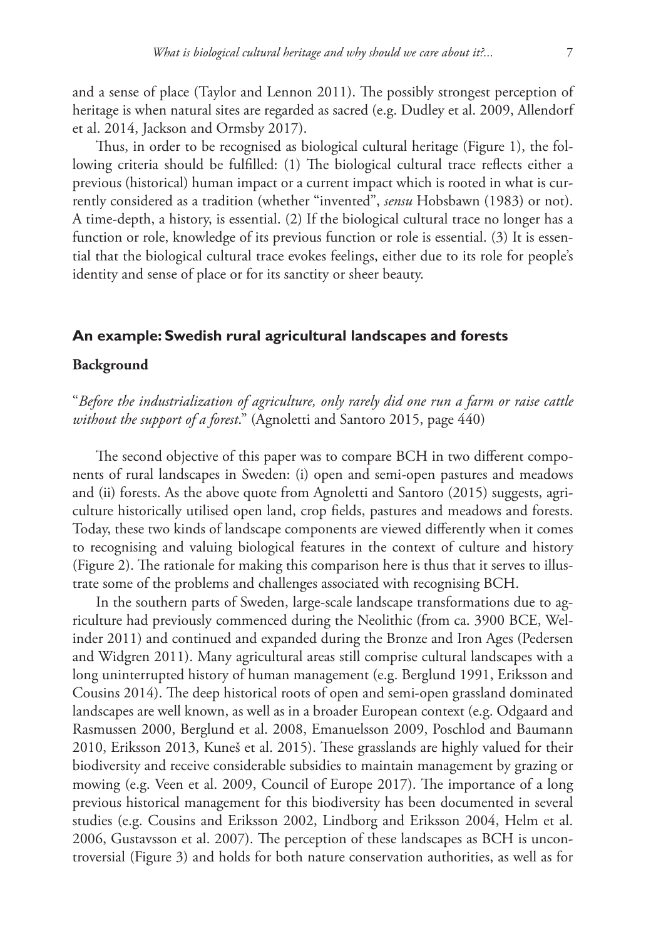and a sense of place (Taylor and Lennon 2011). The possibly strongest perception of heritage is when natural sites are regarded as sacred (e.g. Dudley et al. 2009, Allendorf et al. 2014, Jackson and Ormsby 2017).

Thus, in order to be recognised as biological cultural heritage (Figure 1), the following criteria should be fulfilled: (1) The biological cultural trace reflects either a previous (historical) human impact or a current impact which is rooted in what is currently considered as a tradition (whether "invented", *sensu* Hobsbawn (1983) or not). A time-depth, a history, is essential. (2) If the biological cultural trace no longer has a function or role, knowledge of its previous function or role is essential. (3) It is essential that the biological cultural trace evokes feelings, either due to its role for people's identity and sense of place or for its sanctity or sheer beauty.

## **An example: Swedish rural agricultural landscapes and forests**

## **Background**

"*Before the industrialization of agriculture, only rarely did one run a farm or raise cattle without the support of a forest*." (Agnoletti and Santoro 2015, page 440)

The second objective of this paper was to compare BCH in two different components of rural landscapes in Sweden: (i) open and semi-open pastures and meadows and (ii) forests. As the above quote from Agnoletti and Santoro (2015) suggests, agriculture historically utilised open land, crop fields, pastures and meadows and forests. Today, these two kinds of landscape components are viewed differently when it comes to recognising and valuing biological features in the context of culture and history (Figure 2). The rationale for making this comparison here is thus that it serves to illustrate some of the problems and challenges associated with recognising BCH.

In the southern parts of Sweden, large-scale landscape transformations due to agriculture had previously commenced during the Neolithic (from ca. 3900 BCE, Welinder 2011) and continued and expanded during the Bronze and Iron Ages (Pedersen and Widgren 2011). Many agricultural areas still comprise cultural landscapes with a long uninterrupted history of human management (e.g. Berglund 1991, Eriksson and Cousins 2014). The deep historical roots of open and semi-open grassland dominated landscapes are well known, as well as in a broader European context (e.g. Odgaard and Rasmussen 2000, Berglund et al. 2008, Emanuelsson 2009, Poschlod and Baumann 2010, Eriksson 2013, Kuneš et al. 2015). These grasslands are highly valued for their biodiversity and receive considerable subsidies to maintain management by grazing or mowing (e.g. Veen et al. 2009, Council of Europe 2017). The importance of a long previous historical management for this biodiversity has been documented in several studies (e.g. Cousins and Eriksson 2002, Lindborg and Eriksson 2004, Helm et al. 2006, Gustavsson et al. 2007). The perception of these landscapes as BCH is uncontroversial (Figure 3) and holds for both nature conservation authorities, as well as for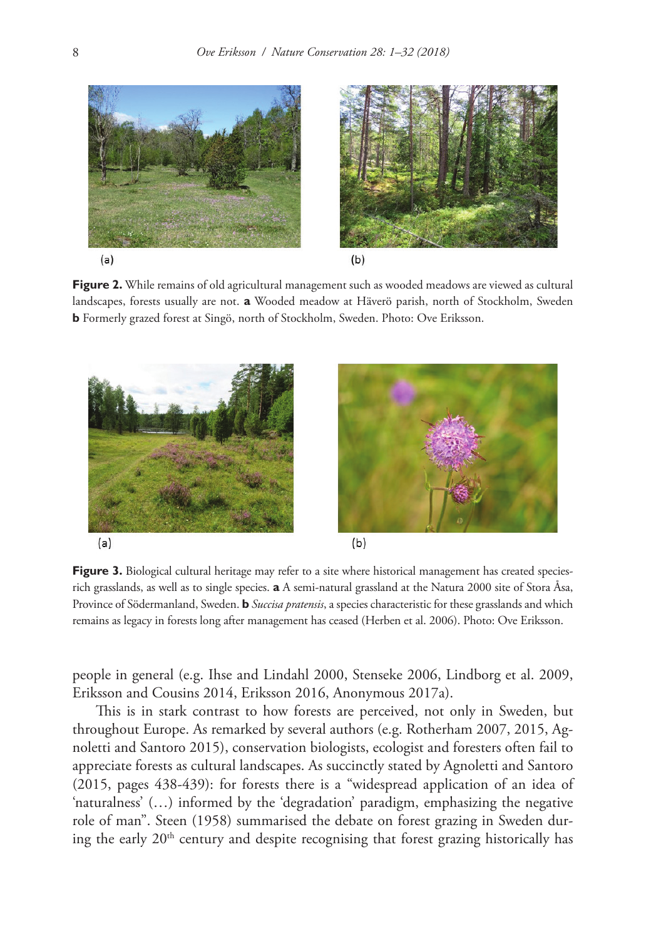

**Figure 2.** While remains of old agricultural management such as wooded meadows are viewed as cultural landscapes, forests usually are not. **a** Wooded meadow at Häverö parish, north of Stockholm, Sweden **b** Formerly grazed forest at Singö, north of Stockholm, Sweden. Photo: Ove Eriksson.



Figure 3. Biological cultural heritage may refer to a site where historical management has created speciesrich grasslands, as well as to single species. **a** A semi-natural grassland at the Natura 2000 site of Stora Åsa, Province of Södermanland, Sweden. **b** *Succisa pratensis*, a species characteristic for these grasslands and which remains as legacy in forests long after management has ceased (Herben et al. 2006). Photo: Ove Eriksson.

people in general (e.g. Ihse and Lindahl 2000, Stenseke 2006, Lindborg et al. 2009, Eriksson and Cousins 2014, Eriksson 2016, Anonymous 2017a).

This is in stark contrast to how forests are perceived, not only in Sweden, but throughout Europe. As remarked by several authors (e.g. Rotherham 2007, 2015, Agnoletti and Santoro 2015), conservation biologists, ecologist and foresters often fail to appreciate forests as cultural landscapes. As succinctly stated by Agnoletti and Santoro (2015, pages 438-439): for forests there is a "widespread application of an idea of 'naturalness' (…) informed by the 'degradation' paradigm, emphasizing the negative role of man". Steen (1958) summarised the debate on forest grazing in Sweden during the early 20<sup>th</sup> century and despite recognising that forest grazing historically has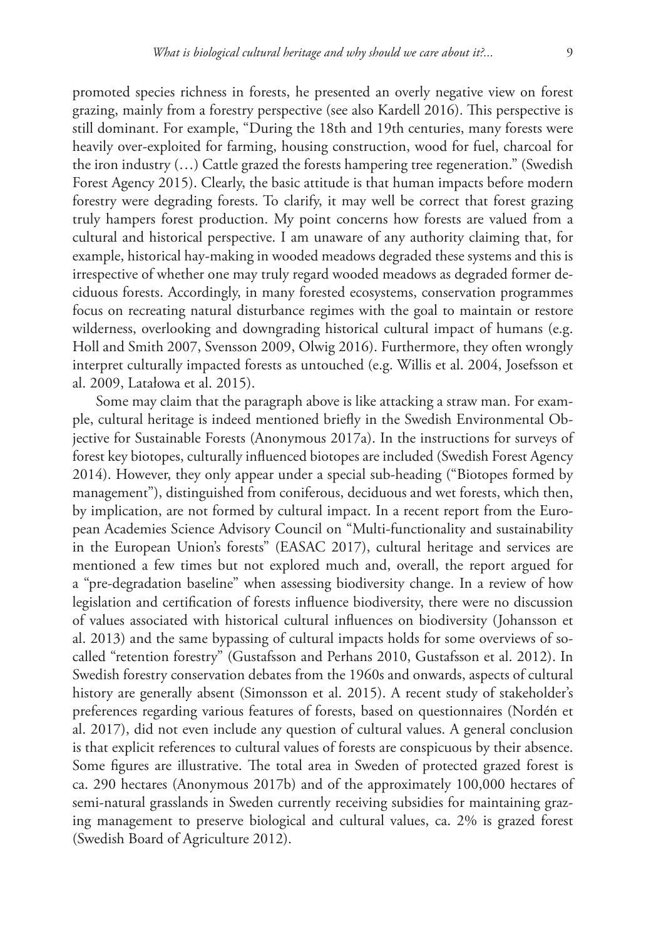promoted species richness in forests, he presented an overly negative view on forest grazing, mainly from a forestry perspective (see also Kardell 2016). This perspective is still dominant. For example, "During the 18th and 19th centuries, many forests were heavily over-exploited for farming, housing construction, wood for fuel, charcoal for the iron industry (…) Cattle grazed the forests hampering tree regeneration." (Swedish Forest Agency 2015). Clearly, the basic attitude is that human impacts before modern forestry were degrading forests. To clarify, it may well be correct that forest grazing truly hampers forest production. My point concerns how forests are valued from a cultural and historical perspective. I am unaware of any authority claiming that, for example, historical hay-making in wooded meadows degraded these systems and this is irrespective of whether one may truly regard wooded meadows as degraded former deciduous forests. Accordingly, in many forested ecosystems, conservation programmes focus on recreating natural disturbance regimes with the goal to maintain or restore wilderness, overlooking and downgrading historical cultural impact of humans (e.g. Holl and Smith 2007, Svensson 2009, Olwig 2016). Furthermore, they often wrongly interpret culturally impacted forests as untouched (e.g. Willis et al. 2004, Josefsson et al. 2009, Latałowa et al. 2015).

Some may claim that the paragraph above is like attacking a straw man. For example, cultural heritage is indeed mentioned briefly in the Swedish Environmental Objective for Sustainable Forests (Anonymous 2017a). In the instructions for surveys of forest key biotopes, culturally influenced biotopes are included (Swedish Forest Agency 2014). However, they only appear under a special sub-heading ("Biotopes formed by management"), distinguished from coniferous, deciduous and wet forests, which then, by implication, are not formed by cultural impact. In a recent report from the European Academies Science Advisory Council on "Multi-functionality and sustainability in the European Union's forests" (EASAC 2017), cultural heritage and services are mentioned a few times but not explored much and, overall, the report argued for a "pre-degradation baseline" when assessing biodiversity change. In a review of how legislation and certification of forests influence biodiversity, there were no discussion of values associated with historical cultural influences on biodiversity (Johansson et al. 2013) and the same bypassing of cultural impacts holds for some overviews of socalled "retention forestry" (Gustafsson and Perhans 2010, Gustafsson et al. 2012). In Swedish forestry conservation debates from the 1960s and onwards, aspects of cultural history are generally absent (Simonsson et al. 2015). A recent study of stakeholder's preferences regarding various features of forests, based on questionnaires (Nordén et al. 2017), did not even include any question of cultural values. A general conclusion is that explicit references to cultural values of forests are conspicuous by their absence. Some figures are illustrative. The total area in Sweden of protected grazed forest is ca. 290 hectares (Anonymous 2017b) and of the approximately 100,000 hectares of semi-natural grasslands in Sweden currently receiving subsidies for maintaining grazing management to preserve biological and cultural values, ca. 2% is grazed forest (Swedish Board of Agriculture 2012).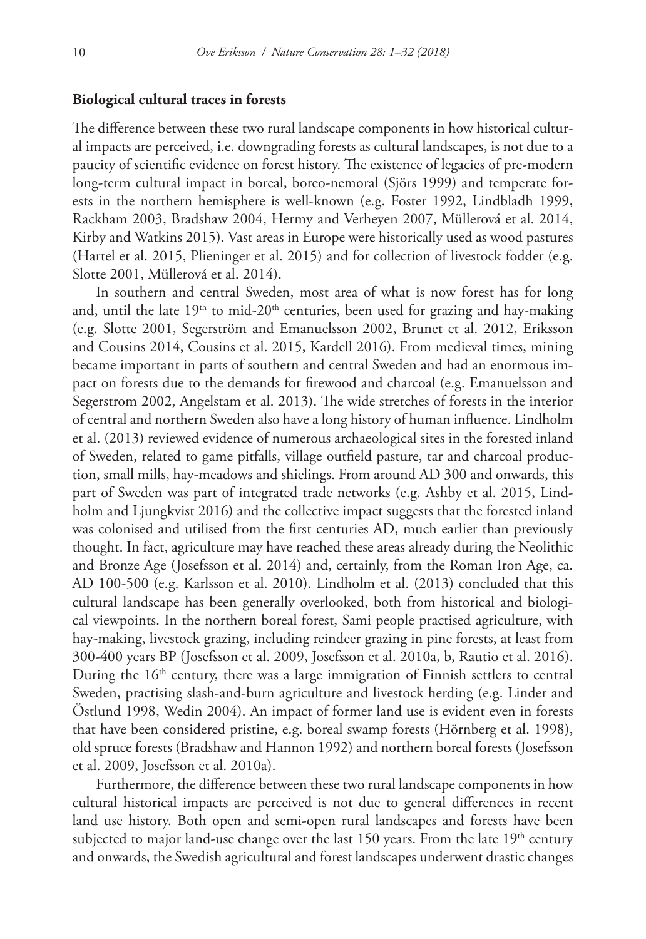#### **Biological cultural traces in forests**

The difference between these two rural landscape components in how historical cultural impacts are perceived, i.e. downgrading forests as cultural landscapes, is not due to a paucity of scientific evidence on forest history. The existence of legacies of pre-modern long-term cultural impact in boreal, boreo-nemoral (Sjörs 1999) and temperate forests in the northern hemisphere is well-known (e.g. Foster 1992, Lindbladh 1999, Rackham 2003, Bradshaw 2004, Hermy and Verheyen 2007, Müllerová et al. 2014, Kirby and Watkins 2015). Vast areas in Europe were historically used as wood pastures (Hartel et al. 2015, Plieninger et al. 2015) and for collection of livestock fodder (e.g. Slotte 2001, Müllerová et al. 2014).

In southern and central Sweden, most area of what is now forest has for long and, until the late  $19<sup>th</sup>$  to mid- $20<sup>th</sup>$  centuries, been used for grazing and hay-making (e.g. Slotte 2001, Segerström and Emanuelsson 2002, Brunet et al. 2012, Eriksson and Cousins 2014, Cousins et al. 2015, Kardell 2016). From medieval times, mining became important in parts of southern and central Sweden and had an enormous impact on forests due to the demands for firewood and charcoal (e.g. Emanuelsson and Segerstrom 2002, Angelstam et al. 2013). The wide stretches of forests in the interior of central and northern Sweden also have a long history of human influence. Lindholm et al. (2013) reviewed evidence of numerous archaeological sites in the forested inland of Sweden, related to game pitfalls, village outfield pasture, tar and charcoal production, small mills, hay-meadows and shielings. From around AD 300 and onwards, this part of Sweden was part of integrated trade networks (e.g. Ashby et al. 2015, Lindholm and Ljungkvist 2016) and the collective impact suggests that the forested inland was colonised and utilised from the first centuries AD, much earlier than previously thought. In fact, agriculture may have reached these areas already during the Neolithic and Bronze Age (Josefsson et al. 2014) and, certainly, from the Roman Iron Age, ca. AD 100-500 (e.g. Karlsson et al. 2010). Lindholm et al. (2013) concluded that this cultural landscape has been generally overlooked, both from historical and biological viewpoints. In the northern boreal forest, Sami people practised agriculture, with hay-making, livestock grazing, including reindeer grazing in pine forests, at least from 300-400 years BP (Josefsson et al. 2009, Josefsson et al. 2010a, b, Rautio et al. 2016). During the 16<sup>th</sup> century, there was a large immigration of Finnish settlers to central Sweden, practising slash-and-burn agriculture and livestock herding (e.g. Linder and Östlund 1998, Wedin 2004). An impact of former land use is evident even in forests that have been considered pristine, e.g. boreal swamp forests (Hörnberg et al. 1998), old spruce forests (Bradshaw and Hannon 1992) and northern boreal forests (Josefsson et al. 2009, Josefsson et al. 2010a).

Furthermore, the difference between these two rural landscape components in how cultural historical impacts are perceived is not due to general differences in recent land use history. Both open and semi-open rural landscapes and forests have been subjected to major land-use change over the last 150 years. From the late  $19<sup>th</sup>$  century and onwards, the Swedish agricultural and forest landscapes underwent drastic changes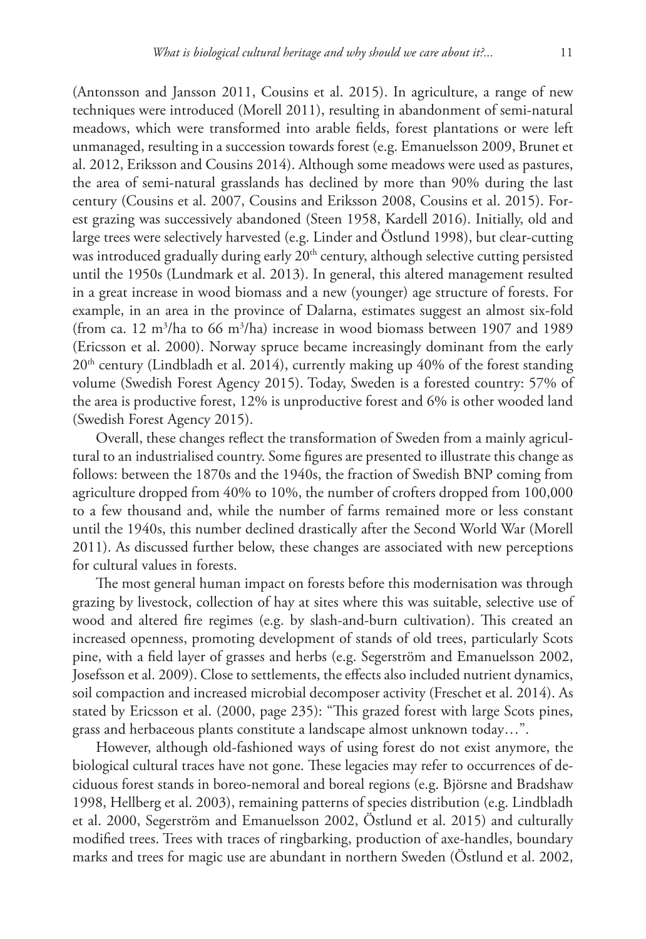(Antonsson and Jansson 2011, Cousins et al. 2015). In agriculture, a range of new techniques were introduced (Morell 2011), resulting in abandonment of semi-natural meadows, which were transformed into arable fields, forest plantations or were left unmanaged, resulting in a succession towards forest (e.g. Emanuelsson 2009, Brunet et al. 2012, Eriksson and Cousins 2014). Although some meadows were used as pastures, the area of semi-natural grasslands has declined by more than 90% during the last century (Cousins et al. 2007, Cousins and Eriksson 2008, Cousins et al. 2015). Forest grazing was successively abandoned (Steen 1958, Kardell 2016). Initially, old and large trees were selectively harvested (e.g. Linder and Östlund 1998), but clear-cutting was introduced gradually during early 20<sup>th</sup> century, although selective cutting persisted until the 1950s (Lundmark et al. 2013). In general, this altered management resulted in a great increase in wood biomass and a new (younger) age structure of forests. For example, in an area in the province of Dalarna, estimates suggest an almost six-fold (from ca. 12  $\mathrm{m}^3/\mathrm{h}$ a to 66  $\mathrm{m}^3/\mathrm{h}$ a) increase in wood biomass between 1907 and 1989 (Ericsson et al. 2000). Norway spruce became increasingly dominant from the early  $20<sup>th</sup>$  century (Lindbladh et al. 2014), currently making up 40% of the forest standing volume (Swedish Forest Agency 2015). Today, Sweden is a forested country: 57% of the area is productive forest, 12% is unproductive forest and 6% is other wooded land (Swedish Forest Agency 2015).

Overall, these changes reflect the transformation of Sweden from a mainly agricultural to an industrialised country. Some figures are presented to illustrate this change as follows: between the 1870s and the 1940s, the fraction of Swedish BNP coming from agriculture dropped from 40% to 10%, the number of crofters dropped from 100,000 to a few thousand and, while the number of farms remained more or less constant until the 1940s, this number declined drastically after the Second World War (Morell 2011). As discussed further below, these changes are associated with new perceptions for cultural values in forests.

The most general human impact on forests before this modernisation was through grazing by livestock, collection of hay at sites where this was suitable, selective use of wood and altered fire regimes (e.g. by slash-and-burn cultivation). This created an increased openness, promoting development of stands of old trees, particularly Scots pine, with a field layer of grasses and herbs (e.g. Segerström and Emanuelsson 2002, Josefsson et al. 2009). Close to settlements, the effects also included nutrient dynamics, soil compaction and increased microbial decomposer activity (Freschet et al. 2014). As stated by Ericsson et al. (2000, page 235): "This grazed forest with large Scots pines, grass and herbaceous plants constitute a landscape almost unknown today…".

However, although old-fashioned ways of using forest do not exist anymore, the biological cultural traces have not gone. These legacies may refer to occurrences of deciduous forest stands in boreo-nemoral and boreal regions (e.g. Björsne and Bradshaw 1998, Hellberg et al. 2003), remaining patterns of species distribution (e.g. Lindbladh et al. 2000, Segerström and Emanuelsson 2002, Östlund et al. 2015) and culturally modified trees. Trees with traces of ringbarking, production of axe-handles, boundary marks and trees for magic use are abundant in northern Sweden (Östlund et al. 2002,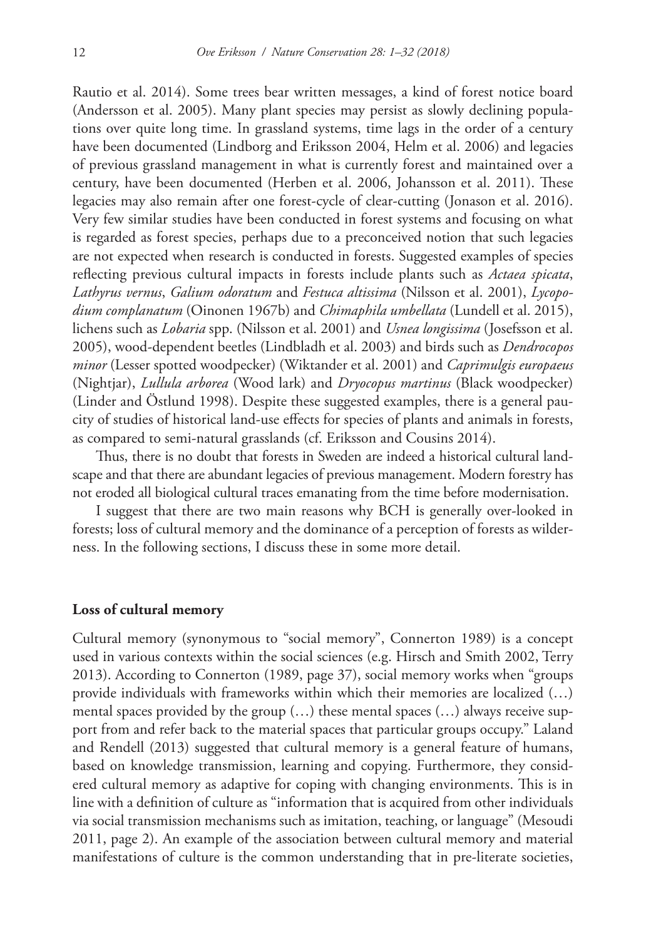Rautio et al. 2014). Some trees bear written messages, a kind of forest notice board (Andersson et al. 2005). Many plant species may persist as slowly declining populations over quite long time. In grassland systems, time lags in the order of a century have been documented (Lindborg and Eriksson 2004, Helm et al. 2006) and legacies of previous grassland management in what is currently forest and maintained over a century, have been documented (Herben et al. 2006, Johansson et al. 2011). These legacies may also remain after one forest-cycle of clear-cutting (Jonason et al. 2016). Very few similar studies have been conducted in forest systems and focusing on what is regarded as forest species, perhaps due to a preconceived notion that such legacies are not expected when research is conducted in forests. Suggested examples of species reflecting previous cultural impacts in forests include plants such as *Actaea spicata*, *Lathyrus vernus*, *Galium odoratum* and *Festuca altissima* (Nilsson et al. 2001), *Lycopodium complanatum* (Oinonen 1967b) and *Chimaphila umbellata* (Lundell et al. 2015), lichens such as *Lobaria* spp. (Nilsson et al. 2001) and *Usnea longissima* (Josefsson et al. 2005), wood-dependent beetles (Lindbladh et al. 2003) and birds such as *Dendrocopos minor* (Lesser spotted woodpecker) (Wiktander et al. 2001) and *Caprimulgis europaeus* (Nightjar), *Lullula arborea* (Wood lark) and *Dryocopus martinus* (Black woodpecker) (Linder and Östlund 1998). Despite these suggested examples, there is a general paucity of studies of historical land-use effects for species of plants and animals in forests, as compared to semi-natural grasslands (cf. Eriksson and Cousins 2014).

Thus, there is no doubt that forests in Sweden are indeed a historical cultural landscape and that there are abundant legacies of previous management. Modern forestry has not eroded all biological cultural traces emanating from the time before modernisation.

I suggest that there are two main reasons why BCH is generally over-looked in forests; loss of cultural memory and the dominance of a perception of forests as wilderness. In the following sections, I discuss these in some more detail.

#### **Loss of cultural memory**

Cultural memory (synonymous to "social memory", Connerton 1989) is a concept used in various contexts within the social sciences (e.g. Hirsch and Smith 2002, Terry 2013). According to Connerton (1989, page 37), social memory works when "groups provide individuals with frameworks within which their memories are localized (…) mental spaces provided by the group  $(...)$  these mental spaces  $(...)$  always receive support from and refer back to the material spaces that particular groups occupy." Laland and Rendell (2013) suggested that cultural memory is a general feature of humans, based on knowledge transmission, learning and copying. Furthermore, they considered cultural memory as adaptive for coping with changing environments. This is in line with a definition of culture as "information that is acquired from other individuals via social transmission mechanisms such as imitation, teaching, or language" (Mesoudi 2011, page 2). An example of the association between cultural memory and material manifestations of culture is the common understanding that in pre-literate societies,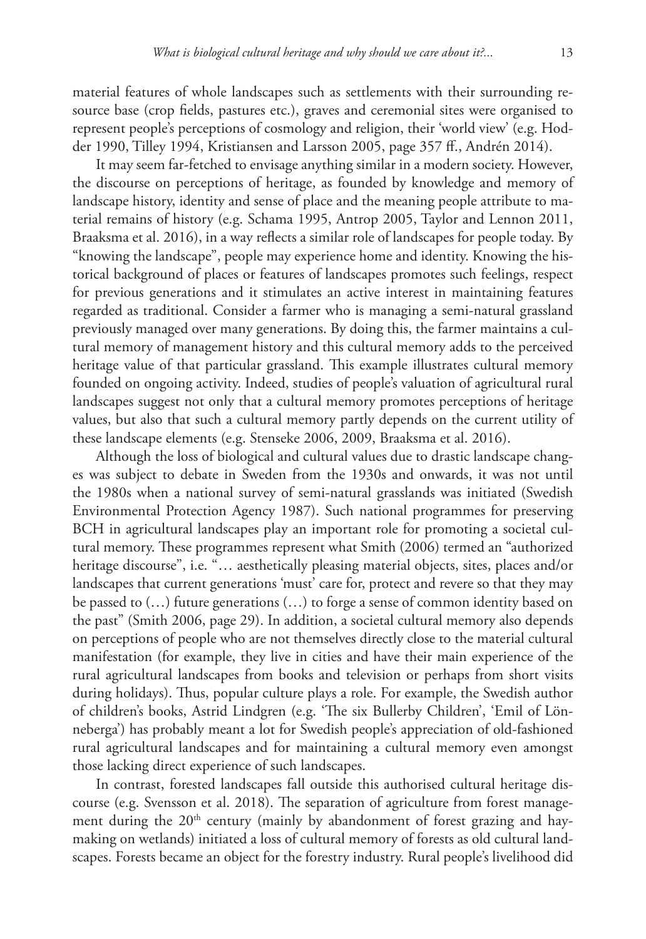material features of whole landscapes such as settlements with their surrounding resource base (crop fields, pastures etc.), graves and ceremonial sites were organised to represent people's perceptions of cosmology and religion, their 'world view' (e.g. Hodder 1990, Tilley 1994, Kristiansen and Larsson 2005, page 357 ff., Andrén 2014).

It may seem far-fetched to envisage anything similar in a modern society. However, the discourse on perceptions of heritage, as founded by knowledge and memory of landscape history, identity and sense of place and the meaning people attribute to material remains of history (e.g. Schama 1995, Antrop 2005, Taylor and Lennon 2011, Braaksma et al. 2016), in a way reflects a similar role of landscapes for people today. By "knowing the landscape", people may experience home and identity. Knowing the historical background of places or features of landscapes promotes such feelings, respect for previous generations and it stimulates an active interest in maintaining features regarded as traditional. Consider a farmer who is managing a semi-natural grassland previously managed over many generations. By doing this, the farmer maintains a cultural memory of management history and this cultural memory adds to the perceived heritage value of that particular grassland. This example illustrates cultural memory founded on ongoing activity. Indeed, studies of people's valuation of agricultural rural landscapes suggest not only that a cultural memory promotes perceptions of heritage values, but also that such a cultural memory partly depends on the current utility of these landscape elements (e.g. Stenseke 2006, 2009, Braaksma et al. 2016).

Although the loss of biological and cultural values due to drastic landscape changes was subject to debate in Sweden from the 1930s and onwards, it was not until the 1980s when a national survey of semi-natural grasslands was initiated (Swedish Environmental Protection Agency 1987). Such national programmes for preserving BCH in agricultural landscapes play an important role for promoting a societal cultural memory. These programmes represent what Smith (2006) termed an "authorized heritage discourse", i.e. "... aesthetically pleasing material objects, sites, places and/or landscapes that current generations 'must' care for, protect and revere so that they may be passed to (…) future generations (…) to forge a sense of common identity based on the past" (Smith 2006, page 29). In addition, a societal cultural memory also depends on perceptions of people who are not themselves directly close to the material cultural manifestation (for example, they live in cities and have their main experience of the rural agricultural landscapes from books and television or perhaps from short visits during holidays). Thus, popular culture plays a role. For example, the Swedish author of children's books, Astrid Lindgren (e.g. 'The six Bullerby Children', 'Emil of Lönneberga') has probably meant a lot for Swedish people's appreciation of old-fashioned rural agricultural landscapes and for maintaining a cultural memory even amongst those lacking direct experience of such landscapes.

In contrast, forested landscapes fall outside this authorised cultural heritage discourse (e.g. Svensson et al. 2018). The separation of agriculture from forest management during the 20<sup>th</sup> century (mainly by abandonment of forest grazing and haymaking on wetlands) initiated a loss of cultural memory of forests as old cultural landscapes. Forests became an object for the forestry industry. Rural people's livelihood did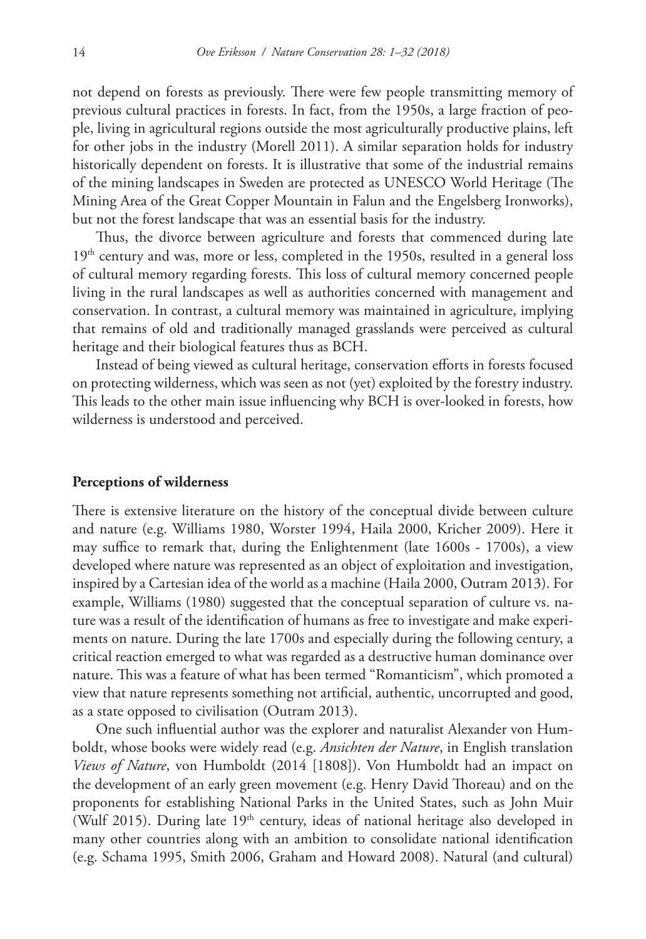not depend on forests as previously. There were few people transmitting memory of previous cultural practices in forests. In fact, from the 1950s, a large fraction of people, living in agricultural regions outside the most agriculturally productive plains, left for other jobs in the industry (Morell 2011). A similar separation holds for industry historically dependent on forests. It is illustrative that some of the industrial remains of the mining landscapes in Sweden are protected as UNESCO World Heritage (The Mining Area of the Great Copper Mountain in Falun and the Engelsberg Ironworks), but not the forest landscape that was an essential basis for the industry.

Thus, the divorce between agriculture and forests that commenced during late 19<sup>th</sup> century and was, more or less, completed in the 1950s, resulted in a general loss of cultural memory regarding forests. This loss of cultural memory concerned people living in the rural landscapes as well as authorities concerned with management and conservation. In contrast, a cultural memory was maintained in agriculture, implying that remains of old and traditionally managed grasslands were perceived as cultural heritage and their biological features thus as BCH.

Instead of being viewed as cultural heritage, conservation efforts in forests focused on protecting wilderness, which was seen as not (yet) exploited by the forestry industry. This leads to the other main issue influencing why BCH is over-looked in forests, how wilderness is understood and perceived.

#### **Perceptions of wilderness**

There is extensive literature on the history of the conceptual divide between culture and nature (e.g. Williams 1980, Worster 1994, Haila 2000, Kricher 2009). Here it may suffice to remark that, during the Enlightenment (late 1600s - 1700s), a view developed where nature was represented as an object of exploitation and investigation, inspired by a Cartesian idea of the world as a machine (Haila 2000, Outram 2013). For example, Williams (1980) suggested that the conceptual separation of culture vs. nature was a result of the identification of humans as free to investigate and make experiments on nature. During the late 1700s and especially during the following century, a critical reaction emerged to what was regarded as a destructive human dominance over nature. This was a feature of what has been termed "Romanticism", which promoted a view that nature represents something not artificial, authentic, uncorrupted and good, as a state opposed to civilisation (Outram 2013).

One such influential author was the explorer and naturalist Alexander von Humboldt, whose books were widely read (e.g. *Ansichten der Nature*, in English translation *Views of Nature*, von Humboldt (2014 [1808]). Von Humboldt had an impact on the development of an early green movement (e.g. Henry David Thoreau) and on the proponents for establishing National Parks in the United States, such as John Muir (Wulf 2015). During late  $19<sup>th</sup>$  century, ideas of national heritage also developed in many other countries along with an ambition to consolidate national identification (e.g. Schama 1995, Smith 2006, Graham and Howard 2008). Natural (and cultural)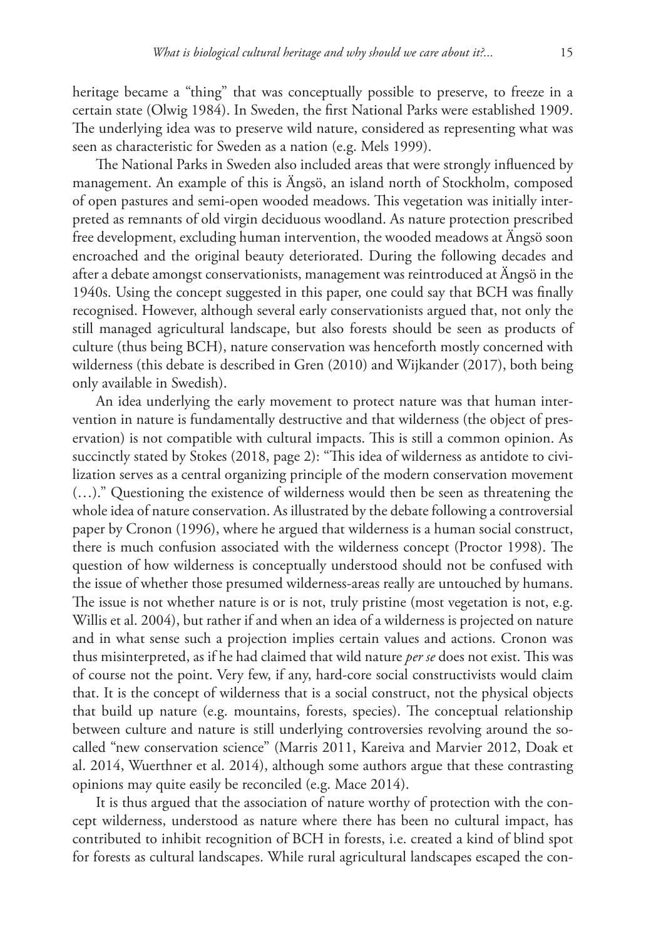heritage became a "thing" that was conceptually possible to preserve, to freeze in a certain state (Olwig 1984). In Sweden, the first National Parks were established 1909. The underlying idea was to preserve wild nature, considered as representing what was seen as characteristic for Sweden as a nation (e.g. Mels 1999).

The National Parks in Sweden also included areas that were strongly influenced by management. An example of this is Ängsö, an island north of Stockholm, composed of open pastures and semi-open wooded meadows. This vegetation was initially interpreted as remnants of old virgin deciduous woodland. As nature protection prescribed free development, excluding human intervention, the wooded meadows at Ängsö soon encroached and the original beauty deteriorated. During the following decades and after a debate amongst conservationists, management was reintroduced at Ängsö in the 1940s. Using the concept suggested in this paper, one could say that BCH was finally recognised. However, although several early conservationists argued that, not only the still managed agricultural landscape, but also forests should be seen as products of culture (thus being BCH), nature conservation was henceforth mostly concerned with wilderness (this debate is described in Gren (2010) and Wijkander (2017), both being only available in Swedish).

An idea underlying the early movement to protect nature was that human intervention in nature is fundamentally destructive and that wilderness (the object of preservation) is not compatible with cultural impacts. This is still a common opinion. As succinctly stated by Stokes (2018, page 2): "This idea of wilderness as antidote to civilization serves as a central organizing principle of the modern conservation movement (…)." Questioning the existence of wilderness would then be seen as threatening the whole idea of nature conservation. As illustrated by the debate following a controversial paper by Cronon (1996), where he argued that wilderness is a human social construct, there is much confusion associated with the wilderness concept (Proctor 1998). The question of how wilderness is conceptually understood should not be confused with the issue of whether those presumed wilderness-areas really are untouched by humans. The issue is not whether nature is or is not, truly pristine (most vegetation is not, e.g. Willis et al. 2004), but rather if and when an idea of a wilderness is projected on nature and in what sense such a projection implies certain values and actions. Cronon was thus misinterpreted, as if he had claimed that wild nature *per se* does not exist. This was of course not the point. Very few, if any, hard-core social constructivists would claim that. It is the concept of wilderness that is a social construct, not the physical objects that build up nature (e.g. mountains, forests, species). The conceptual relationship between culture and nature is still underlying controversies revolving around the socalled "new conservation science" (Marris 2011, Kareiva and Marvier 2012, Doak et al. 2014, Wuerthner et al. 2014), although some authors argue that these contrasting opinions may quite easily be reconciled (e.g. Mace 2014).

It is thus argued that the association of nature worthy of protection with the concept wilderness, understood as nature where there has been no cultural impact, has contributed to inhibit recognition of BCH in forests, i.e. created a kind of blind spot for forests as cultural landscapes. While rural agricultural landscapes escaped the con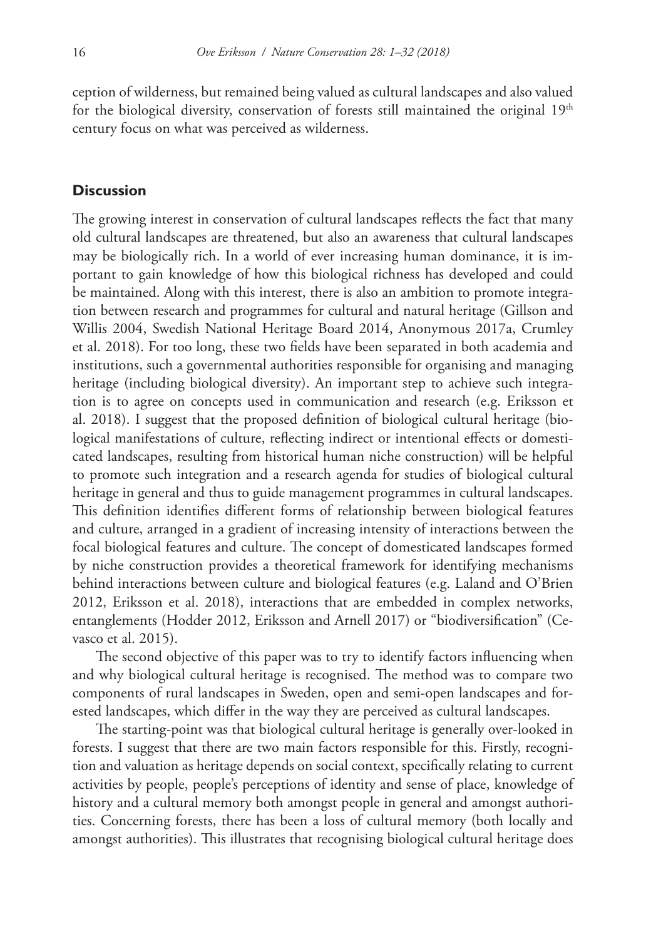ception of wilderness, but remained being valued as cultural landscapes and also valued for the biological diversity, conservation of forests still maintained the original  $19<sup>th</sup>$ century focus on what was perceived as wilderness.

## **Discussion**

The growing interest in conservation of cultural landscapes reflects the fact that many old cultural landscapes are threatened, but also an awareness that cultural landscapes may be biologically rich. In a world of ever increasing human dominance, it is important to gain knowledge of how this biological richness has developed and could be maintained. Along with this interest, there is also an ambition to promote integration between research and programmes for cultural and natural heritage (Gillson and Willis 2004, Swedish National Heritage Board 2014, Anonymous 2017a, Crumley et al. 2018). For too long, these two fields have been separated in both academia and institutions, such a governmental authorities responsible for organising and managing heritage (including biological diversity). An important step to achieve such integration is to agree on concepts used in communication and research (e.g. Eriksson et al. 2018). I suggest that the proposed definition of biological cultural heritage (biological manifestations of culture, reflecting indirect or intentional effects or domesticated landscapes, resulting from historical human niche construction) will be helpful to promote such integration and a research agenda for studies of biological cultural heritage in general and thus to guide management programmes in cultural landscapes. This definition identifies different forms of relationship between biological features and culture, arranged in a gradient of increasing intensity of interactions between the focal biological features and culture. The concept of domesticated landscapes formed by niche construction provides a theoretical framework for identifying mechanisms behind interactions between culture and biological features (e.g. Laland and O'Brien 2012, Eriksson et al. 2018), interactions that are embedded in complex networks, entanglements (Hodder 2012, Eriksson and Arnell 2017) or "biodiversification" (Cevasco et al. 2015).

The second objective of this paper was to try to identify factors influencing when and why biological cultural heritage is recognised. The method was to compare two components of rural landscapes in Sweden, open and semi-open landscapes and forested landscapes, which differ in the way they are perceived as cultural landscapes.

The starting-point was that biological cultural heritage is generally over-looked in forests. I suggest that there are two main factors responsible for this. Firstly, recognition and valuation as heritage depends on social context, specifically relating to current activities by people, people's perceptions of identity and sense of place, knowledge of history and a cultural memory both amongst people in general and amongst authorities. Concerning forests, there has been a loss of cultural memory (both locally and amongst authorities). This illustrates that recognising biological cultural heritage does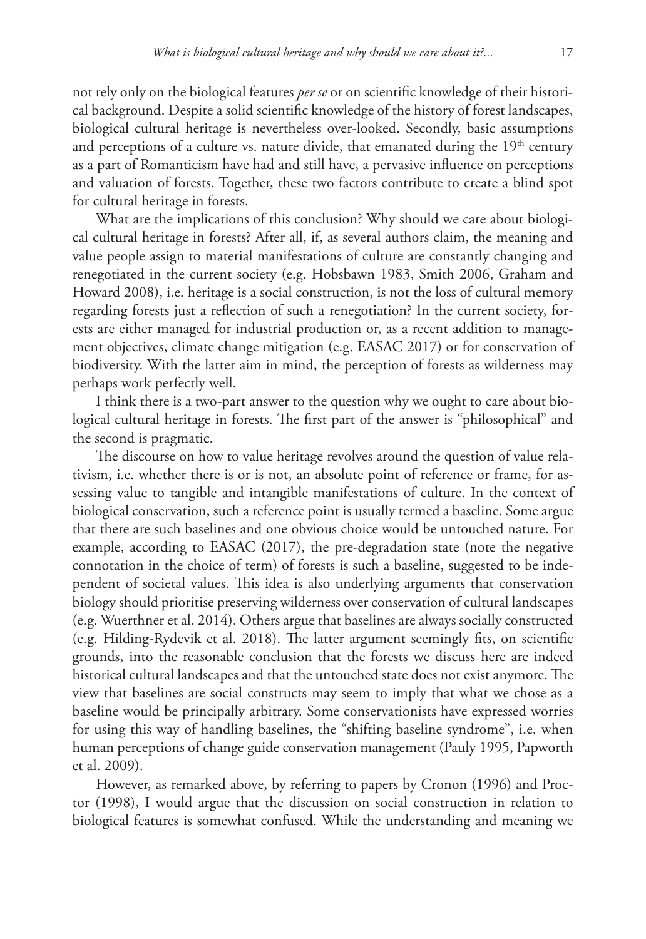not rely only on the biological features *per se* or on scientific knowledge of their historical background. Despite a solid scientific knowledge of the history of forest landscapes, biological cultural heritage is nevertheless over-looked. Secondly, basic assumptions and perceptions of a culture vs. nature divide, that emanated during the  $19<sup>th</sup>$  century as a part of Romanticism have had and still have, a pervasive influence on perceptions and valuation of forests. Together, these two factors contribute to create a blind spot for cultural heritage in forests.

What are the implications of this conclusion? Why should we care about biological cultural heritage in forests? After all, if, as several authors claim, the meaning and value people assign to material manifestations of culture are constantly changing and renegotiated in the current society (e.g. Hobsbawn 1983, Smith 2006, Graham and Howard 2008), i.e. heritage is a social construction, is not the loss of cultural memory regarding forests just a reflection of such a renegotiation? In the current society, forests are either managed for industrial production or, as a recent addition to management objectives, climate change mitigation (e.g. EASAC 2017) or for conservation of biodiversity. With the latter aim in mind, the perception of forests as wilderness may perhaps work perfectly well.

I think there is a two-part answer to the question why we ought to care about biological cultural heritage in forests. The first part of the answer is "philosophical" and the second is pragmatic.

The discourse on how to value heritage revolves around the question of value relativism, i.e. whether there is or is not, an absolute point of reference or frame, for assessing value to tangible and intangible manifestations of culture. In the context of biological conservation, such a reference point is usually termed a baseline. Some argue that there are such baselines and one obvious choice would be untouched nature. For example, according to EASAC (2017), the pre-degradation state (note the negative connotation in the choice of term) of forests is such a baseline, suggested to be independent of societal values. This idea is also underlying arguments that conservation biology should prioritise preserving wilderness over conservation of cultural landscapes (e.g. Wuerthner et al. 2014). Others argue that baselines are always socially constructed (e.g. Hilding-Rydevik et al. 2018). The latter argument seemingly fits, on scientific grounds, into the reasonable conclusion that the forests we discuss here are indeed historical cultural landscapes and that the untouched state does not exist anymore. The view that baselines are social constructs may seem to imply that what we chose as a baseline would be principally arbitrary. Some conservationists have expressed worries for using this way of handling baselines, the "shifting baseline syndrome", i.e. when human perceptions of change guide conservation management (Pauly 1995, Papworth et al. 2009).

However, as remarked above, by referring to papers by Cronon (1996) and Proctor (1998), I would argue that the discussion on social construction in relation to biological features is somewhat confused. While the understanding and meaning we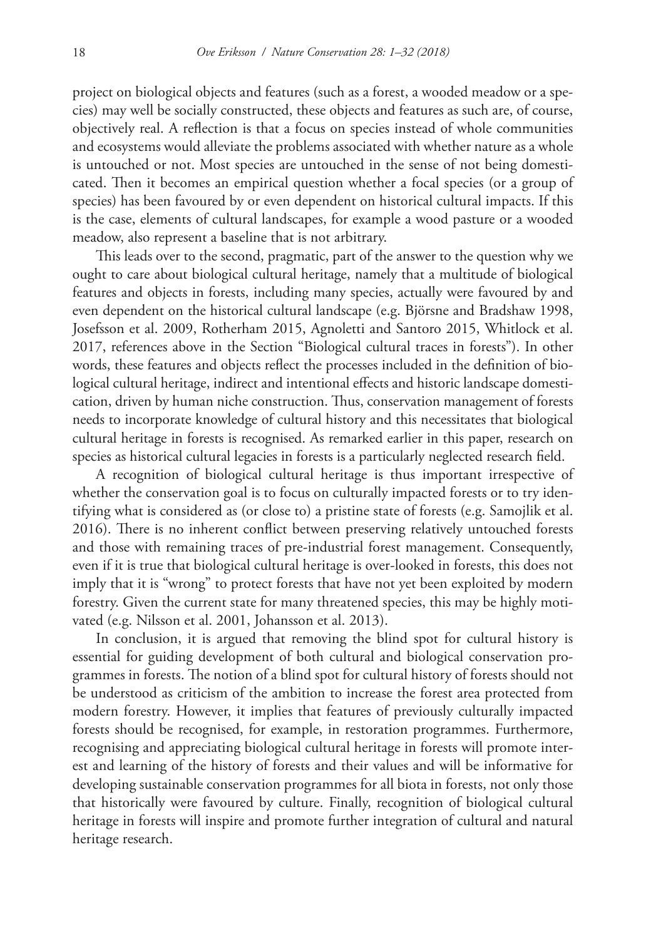project on biological objects and features (such as a forest, a wooded meadow or a species) may well be socially constructed, these objects and features as such are, of course, objectively real. A reflection is that a focus on species instead of whole communities and ecosystems would alleviate the problems associated with whether nature as a whole is untouched or not. Most species are untouched in the sense of not being domesticated. Then it becomes an empirical question whether a focal species (or a group of species) has been favoured by or even dependent on historical cultural impacts. If this is the case, elements of cultural landscapes, for example a wood pasture or a wooded meadow, also represent a baseline that is not arbitrary.

This leads over to the second, pragmatic, part of the answer to the question why we ought to care about biological cultural heritage, namely that a multitude of biological features and objects in forests, including many species, actually were favoured by and even dependent on the historical cultural landscape (e.g. Björsne and Bradshaw 1998, Josefsson et al. 2009, Rotherham 2015, Agnoletti and Santoro 2015, Whitlock et al. 2017, references above in the Section "Biological cultural traces in forests"). In other words, these features and objects reflect the processes included in the definition of biological cultural heritage, indirect and intentional effects and historic landscape domestication, driven by human niche construction. Thus, conservation management of forests needs to incorporate knowledge of cultural history and this necessitates that biological cultural heritage in forests is recognised. As remarked earlier in this paper, research on species as historical cultural legacies in forests is a particularly neglected research field.

A recognition of biological cultural heritage is thus important irrespective of whether the conservation goal is to focus on culturally impacted forests or to try identifying what is considered as (or close to) a pristine state of forests (e.g. Samojlik et al. 2016). There is no inherent conflict between preserving relatively untouched forests and those with remaining traces of pre-industrial forest management. Consequently, even if it is true that biological cultural heritage is over-looked in forests, this does not imply that it is "wrong" to protect forests that have not yet been exploited by modern forestry. Given the current state for many threatened species, this may be highly motivated (e.g. Nilsson et al. 2001, Johansson et al. 2013).

In conclusion, it is argued that removing the blind spot for cultural history is essential for guiding development of both cultural and biological conservation programmes in forests. The notion of a blind spot for cultural history of forests should not be understood as criticism of the ambition to increase the forest area protected from modern forestry. However, it implies that features of previously culturally impacted forests should be recognised, for example, in restoration programmes. Furthermore, recognising and appreciating biological cultural heritage in forests will promote interest and learning of the history of forests and their values and will be informative for developing sustainable conservation programmes for all biota in forests, not only those that historically were favoured by culture. Finally, recognition of biological cultural heritage in forests will inspire and promote further integration of cultural and natural heritage research.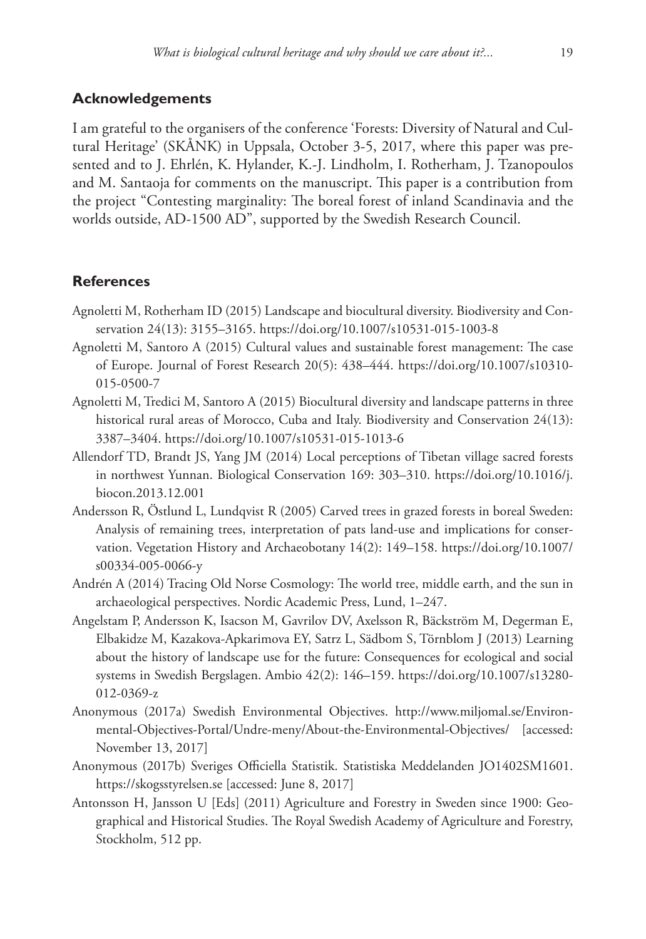## **Acknowledgements**

I am grateful to the organisers of the conference 'Forests: Diversity of Natural and Cultural Heritage' (SKÅNK) in Uppsala, October 3-5, 2017, where this paper was presented and to J. Ehrlén, K. Hylander, K.-J. Lindholm, I. Rotherham, J. Tzanopoulos and M. Santaoja for comments on the manuscript. This paper is a contribution from the project "Contesting marginality: The boreal forest of inland Scandinavia and the worlds outside, AD-1500 AD", supported by the Swedish Research Council.

## **References**

- Agnoletti M, Rotherham ID (2015) Landscape and biocultural diversity. Biodiversity and Conservation 24(13): 3155–3165.<https://doi.org/10.1007/s10531-015-1003-8>
- Agnoletti M, Santoro A (2015) Cultural values and sustainable forest management: The case of Europe. Journal of Forest Research 20(5): 438–444. [https://doi.org/10.1007/s10310-](https://doi.org/10.1007/s10310-015-0500-7) [015-0500-7](https://doi.org/10.1007/s10310-015-0500-7)
- Agnoletti M, Tredici M, Santoro A (2015) Biocultural diversity and landscape patterns in three historical rural areas of Morocco, Cuba and Italy. Biodiversity and Conservation 24(13): 3387–3404.<https://doi.org/10.1007/s10531-015-1013-6>
- Allendorf TD, Brandt JS, Yang JM (2014) Local perceptions of Tibetan village sacred forests in northwest Yunnan. Biological Conservation 169: 303–310. [https://doi.org/10.1016/j.](https://doi.org/10.1016/j.biocon.2013.12.001) [biocon.2013.12.001](https://doi.org/10.1016/j.biocon.2013.12.001)
- Andersson R, Östlund L, Lundqvist R (2005) Carved trees in grazed forests in boreal Sweden: Analysis of remaining trees, interpretation of pats land-use and implications for conservation. Vegetation History and Archaeobotany 14(2): 149–158. [https://doi.org/10.1007/](https://doi.org/10.1007/s00334-005-0066-y) [s00334-005-0066-y](https://doi.org/10.1007/s00334-005-0066-y)
- Andrén A (2014) Tracing Old Norse Cosmology: The world tree, middle earth, and the sun in archaeological perspectives. Nordic Academic Press, Lund, 1–247.
- Angelstam P, Andersson K, Isacson M, Gavrilov DV, Axelsson R, Bäckström M, Degerman E, Elbakidze M, Kazakova-Apkarimova EY, Satrz L, Sädbom S, Törnblom J (2013) Learning about the history of landscape use for the future: Consequences for ecological and social systems in Swedish Bergslagen. Ambio 42(2): 146–159. [https://doi.org/10.1007/s13280-](https://doi.org/10.1007/s13280-012-0369-z) [012-0369-z](https://doi.org/10.1007/s13280-012-0369-z)
- Anonymous (2017a) Swedish Environmental Objectives. [http://www.miljomal.se/Environ](http://www.miljomal.se/Environmental-Objectives-Portal/Undre-meny/About-the-Environmental-Objectives/)[mental-Objectives-Portal/Undre-meny/About-the-Environmental-Objectives/](http://www.miljomal.se/Environmental-Objectives-Portal/Undre-meny/About-the-Environmental-Objectives/) [accessed: November 13, 2017]
- Anonymous (2017b) Sveriges Officiella Statistik. Statistiska Meddelanden JO1402SM1601. <https://skogsstyrelsen.se> [accessed: June 8, 2017]
- Antonsson H, Jansson U [Eds] (2011) Agriculture and Forestry in Sweden since 1900: Geographical and Historical Studies. The Royal Swedish Academy of Agriculture and Forestry, Stockholm, 512 pp.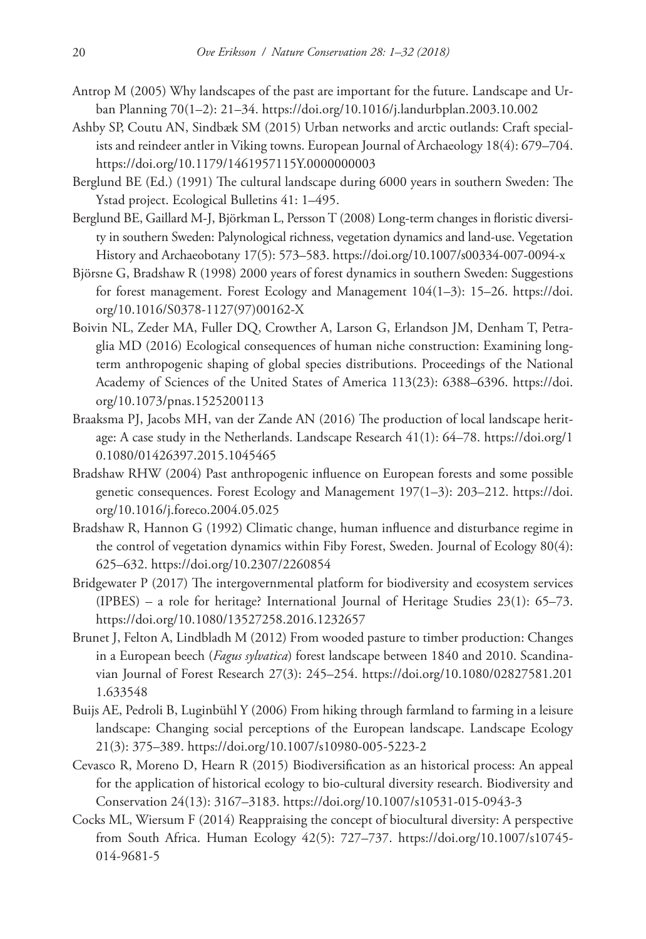- Antrop M (2005) Why landscapes of the past are important for the future. Landscape and Urban Planning 70(1–2): 21–34. <https://doi.org/10.1016/j.landurbplan.2003.10.002>
- Ashby SP, Coutu AN, Sindbæk SM (2015) Urban networks and arctic outlands: Craft specialists and reindeer antler in Viking towns. European Journal of Archaeology 18(4): 679–704. <https://doi.org/10.1179/1461957115Y.0000000003>
- Berglund BE (Ed.) (1991) The cultural landscape during 6000 years in southern Sweden: The Ystad project. Ecological Bulletins 41: 1–495.
- Berglund BE, Gaillard M-J, Björkman L, Persson T (2008) Long-term changes in floristic diversity in southern Sweden: Palynological richness, vegetation dynamics and land-use. Vegetation History and Archaeobotany 17(5): 573–583.<https://doi.org/10.1007/s00334-007-0094-x>
- Björsne G, Bradshaw R (1998) 2000 years of forest dynamics in southern Sweden: Suggestions for forest management. Forest Ecology and Management 104(1–3): 15–26. [https://doi.](https://doi.org/10.1016/S0378-1127(97)00162-X) [org/10.1016/S0378-1127\(97\)00162-X](https://doi.org/10.1016/S0378-1127(97)00162-X)
- Boivin NL, Zeder MA, Fuller DQ, Crowther A, Larson G, Erlandson JM, Denham T, Petraglia MD (2016) Ecological consequences of human niche construction: Examining longterm anthropogenic shaping of global species distributions. Proceedings of the National Academy of Sciences of the United States of America 113(23): 6388–6396. [https://doi.](https://doi.org/10.1073/pnas.1525200113) [org/10.1073/pnas.1525200113](https://doi.org/10.1073/pnas.1525200113)
- Braaksma PJ, Jacobs MH, van der Zande AN (2016) The production of local landscape heritage: A case study in the Netherlands. Landscape Research 41(1): 64–78. [https://doi.org/1](https://doi.org/10.1080/01426397.2015.1045465) [0.1080/01426397.2015.1045465](https://doi.org/10.1080/01426397.2015.1045465)
- Bradshaw RHW (2004) Past anthropogenic influence on European forests and some possible genetic consequences. Forest Ecology and Management 197(1–3): 203–212. [https://doi.](https://doi.org/10.1016/j.foreco.2004.05.025) [org/10.1016/j.foreco.2004.05.025](https://doi.org/10.1016/j.foreco.2004.05.025)
- Bradshaw R, Hannon G (1992) Climatic change, human influence and disturbance regime in the control of vegetation dynamics within Fiby Forest, Sweden. Journal of Ecology 80(4): 625–632.<https://doi.org/10.2307/2260854>
- Bridgewater P (2017) The intergovernmental platform for biodiversity and ecosystem services (IPBES) – a role for heritage? International Journal of Heritage Studies 23(1): 65–73. <https://doi.org/10.1080/13527258.2016.1232657>
- Brunet J, Felton A, Lindbladh M (2012) From wooded pasture to timber production: Changes in a European beech (*Fagus sylvatica*) forest landscape between 1840 and 2010. Scandinavian Journal of Forest Research 27(3): 245–254. [https://doi.org/10.1080/02827581.201](https://doi.org/10.1080/02827581.2011.633548) [1.633548](https://doi.org/10.1080/02827581.2011.633548)
- Buijs AE, Pedroli B, Luginbühl Y (2006) From hiking through farmland to farming in a leisure landscape: Changing social perceptions of the European landscape. Landscape Ecology 21(3): 375–389. <https://doi.org/10.1007/s10980-005-5223-2>
- Cevasco R, Moreno D, Hearn R (2015) Biodiversification as an historical process: An appeal for the application of historical ecology to bio-cultural diversity research. Biodiversity and Conservation 24(13): 3167–3183.<https://doi.org/10.1007/s10531-015-0943-3>
- Cocks ML, Wiersum F (2014) Reappraising the concept of biocultural diversity: A perspective from South Africa. Human Ecology 42(5): 727–737. [https://doi.org/10.1007/s10745-](https://doi.org/10.1007/s10745-014-9681-5) [014-9681-5](https://doi.org/10.1007/s10745-014-9681-5)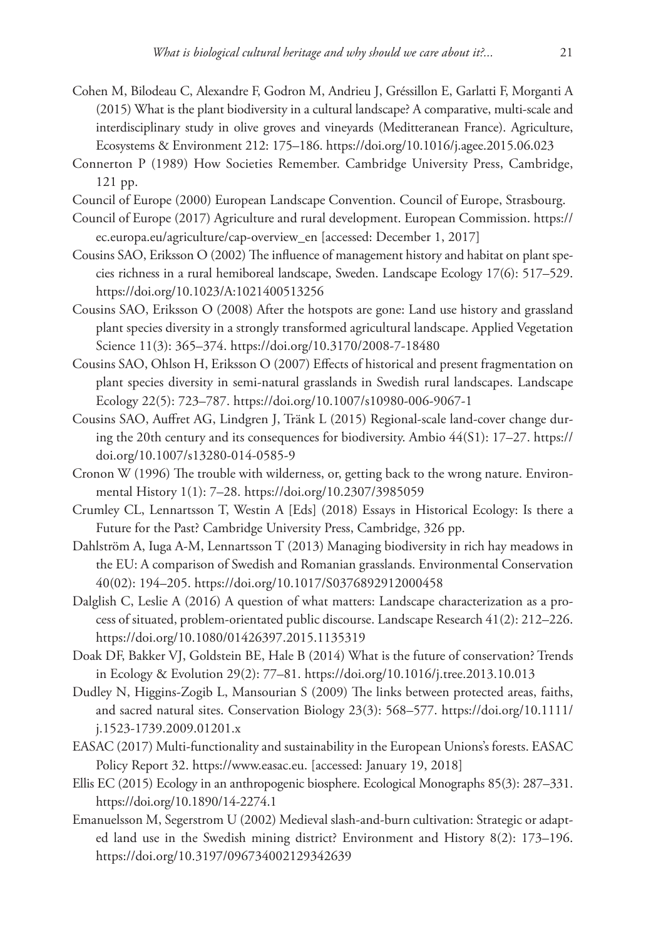- Cohen M, Bilodeau C, Alexandre F, Godron M, Andrieu J, Gréssillon E, Garlatti F, Morganti A (2015) What is the plant biodiversity in a cultural landscape? A comparative, multi-scale and interdisciplinary study in olive groves and vineyards (Meditteranean France). Agriculture, Ecosystems & Environment 212: 175–186.<https://doi.org/10.1016/j.agee.2015.06.023>
- Connerton P (1989) How Societies Remember. Cambridge University Press, Cambridge, 121 pp.
- Council of Europe (2000) European Landscape Convention. Council of Europe, Strasbourg.
- Council of Europe (2017) Agriculture and rural development. European Commission. [https://](https://ec.europa.eu/agriculture/cap-overview_en) [ec.europa.eu/agriculture/cap-overview\\_en](https://ec.europa.eu/agriculture/cap-overview_en) [accessed: December 1, 2017]
- Cousins SAO, Eriksson O (2002) The influence of management history and habitat on plant species richness in a rural hemiboreal landscape, Sweden. Landscape Ecology 17(6): 517–529. <https://doi.org/10.1023/A:1021400513256>
- Cousins SAO, Eriksson O (2008) After the hotspots are gone: Land use history and grassland plant species diversity in a strongly transformed agricultural landscape. Applied Vegetation Science 11(3): 365–374. <https://doi.org/10.3170/2008-7-18480>
- Cousins SAO, Ohlson H, Eriksson O (2007) Effects of historical and present fragmentation on plant species diversity in semi-natural grasslands in Swedish rural landscapes. Landscape Ecology 22(5): 723–787.<https://doi.org/10.1007/s10980-006-9067-1>
- Cousins SAO, Auffret AG, Lindgren J, Tränk L (2015) Regional-scale land-cover change during the 20th century and its consequences for biodiversity. Ambio 44(S1): 17–27. [https://](https://doi.org/10.1007/s13280-014-0585-9) [doi.org/10.1007/s13280-014-0585-9](https://doi.org/10.1007/s13280-014-0585-9)
- Cronon W (1996) The trouble with wilderness, or, getting back to the wrong nature. Environmental History 1(1): 7–28. <https://doi.org/10.2307/3985059>
- Crumley CL, Lennartsson T, Westin A [Eds] (2018) Essays in Historical Ecology: Is there a Future for the Past? Cambridge University Press, Cambridge, 326 pp.
- Dahlström A, Iuga A-M, Lennartsson T (2013) Managing biodiversity in rich hay meadows in the EU: A comparison of Swedish and Romanian grasslands. Environmental Conservation 40(02): 194–205. <https://doi.org/10.1017/S0376892912000458>
- Dalglish C, Leslie A (2016) A question of what matters: Landscape characterization as a process of situated, problem-orientated public discourse. Landscape Research 41(2): 212–226. <https://doi.org/10.1080/01426397.2015.1135319>
- Doak DF, Bakker VJ, Goldstein BE, Hale B (2014) What is the future of conservation? Trends in Ecology & Evolution 29(2): 77–81. <https://doi.org/10.1016/j.tree.2013.10.013>
- Dudley N, Higgins-Zogib L, Mansourian S (2009) The links between protected areas, faiths, and sacred natural sites. Conservation Biology 23(3): 568–577. [https://doi.org/10.1111/](https://doi.org/10.1111/j.1523-1739.2009.01201.x) [j.1523-1739.2009.01201.x](https://doi.org/10.1111/j.1523-1739.2009.01201.x)
- EASAC (2017) Multi-functionality and sustainability in the European Unions's forests. EASAC Policy Report 32.<https://www.easac.eu>. [accessed: January 19, 2018]
- Ellis EC (2015) Ecology in an anthropogenic biosphere. Ecological Monographs 85(3): 287–331. <https://doi.org/10.1890/14-2274.1>
- Emanuelsson M, Segerstrom U (2002) Medieval slash-and-burn cultivation: Strategic or adapted land use in the Swedish mining district? Environment and History 8(2): 173–196. <https://doi.org/10.3197/096734002129342639>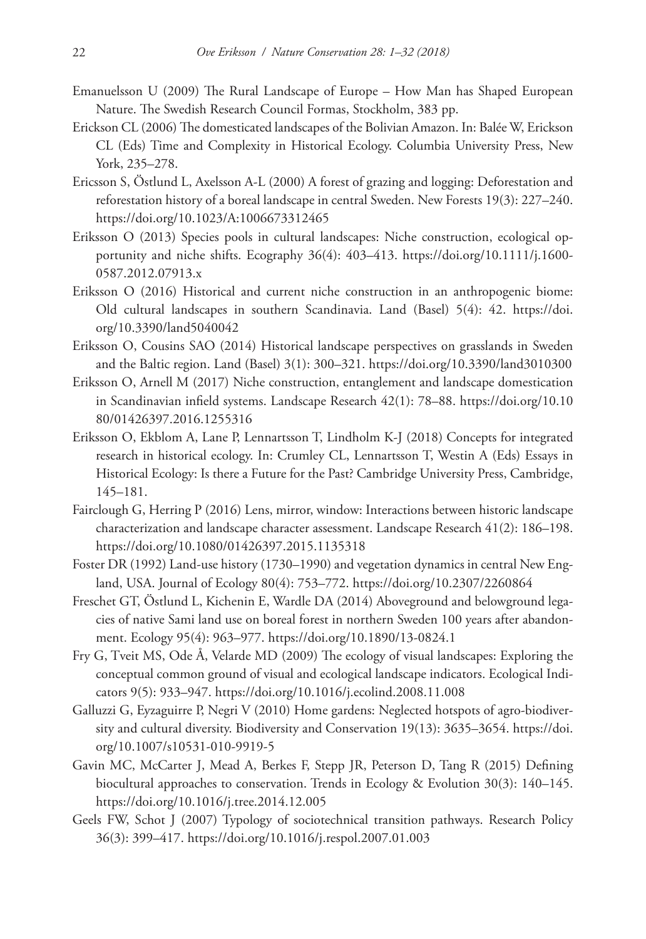- Emanuelsson U (2009) The Rural Landscape of Europe How Man has Shaped European Nature. The Swedish Research Council Formas, Stockholm, 383 pp.
- Erickson CL (2006) The domesticated landscapes of the Bolivian Amazon. In: Balée W, Erickson CL (Eds) Time and Complexity in Historical Ecology. Columbia University Press, New York, 235–278.
- Ericsson S, Östlund L, Axelsson A-L (2000) A forest of grazing and logging: Deforestation and reforestation history of a boreal landscape in central Sweden. New Forests 19(3): 227–240. <https://doi.org/10.1023/A:1006673312465>
- Eriksson O (2013) Species pools in cultural landscapes: Niche construction, ecological opportunity and niche shifts. Ecography 36(4): 403–413. [https://doi.org/10.1111/j.1600-](https://doi.org/10.1111/j.1600-0587.2012.07913.x) [0587.2012.07913.x](https://doi.org/10.1111/j.1600-0587.2012.07913.x)
- Eriksson O (2016) Historical and current niche construction in an anthropogenic biome: Old cultural landscapes in southern Scandinavia. Land (Basel) 5(4): 42. [https://doi.](https://doi.org/10.3390/land5040042) [org/10.3390/land5040042](https://doi.org/10.3390/land5040042)
- Eriksson O, Cousins SAO (2014) Historical landscape perspectives on grasslands in Sweden and the Baltic region. Land (Basel) 3(1): 300–321.<https://doi.org/10.3390/land3010300>
- Eriksson O, Arnell M (2017) Niche construction, entanglement and landscape domestication in Scandinavian infield systems. Landscape Research 42(1): 78–88. [https://doi.org/10.10](https://doi.org/10.1080/01426397.2016.1255316) [80/01426397.2016.1255316](https://doi.org/10.1080/01426397.2016.1255316)
- Eriksson O, Ekblom A, Lane P, Lennartsson T, Lindholm K-J (2018) Concepts for integrated research in historical ecology. In: Crumley CL, Lennartsson T, Westin A (Eds) Essays in Historical Ecology: Is there a Future for the Past? Cambridge University Press, Cambridge, 145–181.
- Fairclough G, Herring P (2016) Lens, mirror, window: Interactions between historic landscape characterization and landscape character assessment. Landscape Research 41(2): 186–198. <https://doi.org/10.1080/01426397.2015.1135318>
- Foster DR (1992) Land-use history (1730–1990) and vegetation dynamics in central New England, USA. Journal of Ecology 80(4): 753–772. <https://doi.org/10.2307/2260864>
- Freschet GT, Östlund L, Kichenin E, Wardle DA (2014) Aboveground and belowground legacies of native Sami land use on boreal forest in northern Sweden 100 years after abandonment. Ecology 95(4): 963–977.<https://doi.org/10.1890/13-0824.1>
- Fry G, Tveit MS, Ode Å, Velarde MD (2009) The ecology of visual landscapes: Exploring the conceptual common ground of visual and ecological landscape indicators. Ecological Indicators 9(5): 933–947. <https://doi.org/10.1016/j.ecolind.2008.11.008>
- Galluzzi G, Eyzaguirre P, Negri V (2010) Home gardens: Neglected hotspots of agro-biodiversity and cultural diversity. Biodiversity and Conservation 19(13): 3635–3654. [https://doi.](https://doi.org/10.1007/s10531-010-9919-5) [org/10.1007/s10531-010-9919-5](https://doi.org/10.1007/s10531-010-9919-5)
- Gavin MC, McCarter J, Mead A, Berkes F, Stepp JR, Peterson D, Tang R (2015) Defining biocultural approaches to conservation. Trends in Ecology & Evolution 30(3): 140–145. <https://doi.org/10.1016/j.tree.2014.12.005>
- Geels FW, Schot J (2007) Typology of sociotechnical transition pathways. Research Policy 36(3): 399–417. <https://doi.org/10.1016/j.respol.2007.01.003>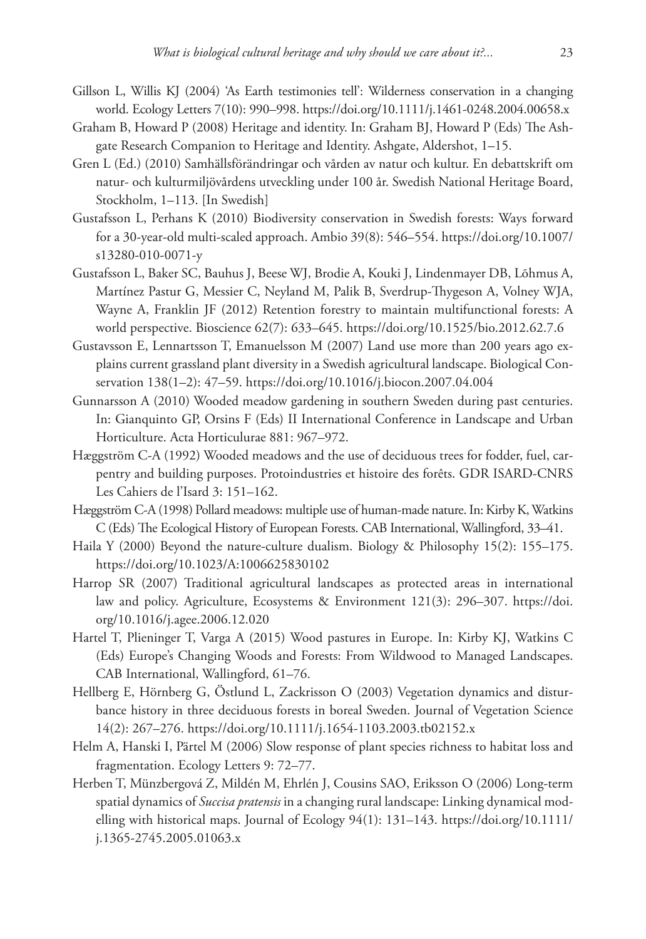- Gillson L, Willis KJ (2004) 'As Earth testimonies tell': Wilderness conservation in a changing world. Ecology Letters 7(10): 990–998.<https://doi.org/10.1111/j.1461-0248.2004.00658.x>
- Graham B, Howard P (2008) Heritage and identity. In: Graham BJ, Howard P (Eds) The Ashgate Research Companion to Heritage and Identity. Ashgate, Aldershot, 1–15.
- Gren L (Ed.) (2010) Samhällsförändringar och vården av natur och kultur. En debattskrift om natur- och kulturmiljövårdens utveckling under 100 år. Swedish National Heritage Board, Stockholm, 1–113. [In Swedish]
- Gustafsson L, Perhans K (2010) Biodiversity conservation in Swedish forests: Ways forward for a 30-year-old multi-scaled approach. Ambio 39(8): 546–554. [https://doi.org/10.1007/](https://doi.org/10.1007/s13280-010-0071-y) [s13280-010-0071-y](https://doi.org/10.1007/s13280-010-0071-y)
- Gustafsson L, Baker SC, Bauhus J, Beese WJ, Brodie A, Kouki J, Lindenmayer DB, Lõhmus A, Martínez Pastur G, Messier C, Neyland M, Palik B, Sverdrup-Thygeson A, Volney WJA, Wayne A, Franklin JF (2012) Retention forestry to maintain multifunctional forests: A world perspective. Bioscience 62(7): 633–645. <https://doi.org/10.1525/bio.2012.62.7.6>
- Gustavsson E, Lennartsson T, Emanuelsson M (2007) Land use more than 200 years ago explains current grassland plant diversity in a Swedish agricultural landscape. Biological Conservation 138(1–2): 47–59.<https://doi.org/10.1016/j.biocon.2007.04.004>
- Gunnarsson A (2010) Wooded meadow gardening in southern Sweden during past centuries. In: Gianquinto GP, Orsins F (Eds) II International Conference in Landscape and Urban Horticulture. Acta Horticulurae 881: 967–972.
- Hæggström C-A (1992) Wooded meadows and the use of deciduous trees for fodder, fuel, carpentry and building purposes. Protoindustries et histoire des forêts. GDR ISARD-CNRS Les Cahiers de l'Isard 3: 151–162.
- Hæggström C-A (1998) Pollard meadows: multiple use of human-made nature. In: Kirby K, Watkins C (Eds) The Ecological History of European Forests. CAB International, Wallingford, 33–41.
- Haila Y (2000) Beyond the nature-culture dualism. Biology & Philosophy 15(2): 155–175. <https://doi.org/10.1023/A:1006625830102>
- Harrop SR (2007) Traditional agricultural landscapes as protected areas in international law and policy. Agriculture, Ecosystems & Environment 121(3): 296–307. [https://doi.](https://doi.org/10.1016/j.agee.2006.12.020) [org/10.1016/j.agee.2006.12.020](https://doi.org/10.1016/j.agee.2006.12.020)
- Hartel T, Plieninger T, Varga A (2015) Wood pastures in Europe. In: Kirby KJ, Watkins C (Eds) Europe's Changing Woods and Forests: From Wildwood to Managed Landscapes. CAB International, Wallingford, 61–76.
- Hellberg E, Hörnberg G, Östlund L, Zackrisson O (2003) Vegetation dynamics and disturbance history in three deciduous forests in boreal Sweden. Journal of Vegetation Science 14(2): 267–276. <https://doi.org/10.1111/j.1654-1103.2003.tb02152.x>
- Helm A, Hanski I, Pärtel M (2006) Slow response of plant species richness to habitat loss and fragmentation. Ecology Letters 9: 72–77.
- Herben T, Münzbergová Z, Mildén M, Ehrlén J, Cousins SAO, Eriksson O (2006) Long-term spatial dynamics of *Succisa pratensis* in a changing rural landscape: Linking dynamical modelling with historical maps. Journal of Ecology 94(1): 131–143. [https://doi.org/10.1111/](https://doi.org/10.1111/j.1365-2745.2005.01063.x) [j.1365-2745.2005.01063.x](https://doi.org/10.1111/j.1365-2745.2005.01063.x)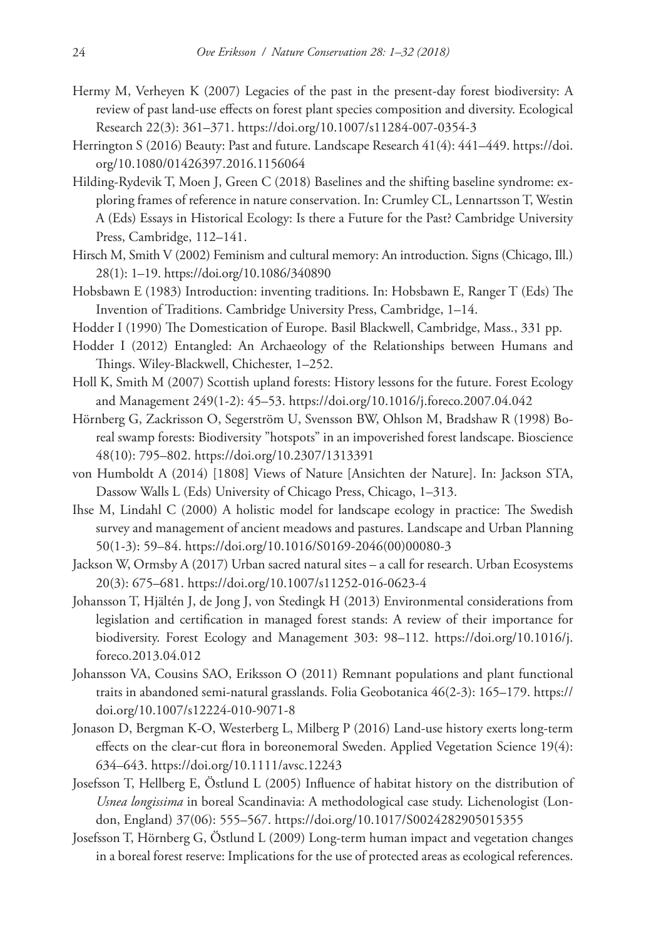- Hermy M, Verheyen K (2007) Legacies of the past in the present-day forest biodiversity: A review of past land-use effects on forest plant species composition and diversity. Ecological Research 22(3): 361–371.<https://doi.org/10.1007/s11284-007-0354-3>
- Herrington S (2016) Beauty: Past and future. Landscape Research 41(4): 441–449. [https://doi.](https://doi.org/10.1080/01426397.2016.1156064) [org/10.1080/01426397.2016.1156064](https://doi.org/10.1080/01426397.2016.1156064)
- Hilding-Rydevik T, Moen J, Green C (2018) Baselines and the shifting baseline syndrome: exploring frames of reference in nature conservation. In: Crumley CL, Lennartsson T, Westin A (Eds) Essays in Historical Ecology: Is there a Future for the Past? Cambridge University Press, Cambridge, 112–141.
- Hirsch M, Smith V (2002) Feminism and cultural memory: An introduction. Signs (Chicago, Ill.) 28(1): 1–19.<https://doi.org/10.1086/340890>
- Hobsbawn E (1983) Introduction: inventing traditions. In: Hobsbawn E, Ranger T (Eds) The Invention of Traditions. Cambridge University Press, Cambridge, 1–14.
- Hodder I (1990) The Domestication of Europe. Basil Blackwell, Cambridge, Mass., 331 pp.
- Hodder I (2012) Entangled: An Archaeology of the Relationships between Humans and Things. Wiley-Blackwell, Chichester, 1–252.
- Holl K, Smith M (2007) Scottish upland forests: History lessons for the future. Forest Ecology and Management 249(1-2): 45–53.<https://doi.org/10.1016/j.foreco.2007.04.042>
- Hörnberg G, Zackrisson O, Segerström U, Svensson BW, Ohlson M, Bradshaw R (1998) Boreal swamp forests: Biodiversity "hotspots" in an impoverished forest landscape. Bioscience 48(10): 795–802. <https://doi.org/10.2307/1313391>
- von Humboldt A (2014) [1808] Views of Nature [Ansichten der Nature]. In: Jackson STA, Dassow Walls L (Eds) University of Chicago Press, Chicago, 1–313.
- Ihse M, Lindahl C (2000) A holistic model for landscape ecology in practice: The Swedish survey and management of ancient meadows and pastures. Landscape and Urban Planning 50(1-3): 59–84. [https://doi.org/10.1016/S0169-2046\(00\)00080-3](https://doi.org/10.1016/S0169-2046(00)00080-3)
- Jackson W, Ormsby A (2017) Urban sacred natural sites a call for research. Urban Ecosystems 20(3): 675–681. <https://doi.org/10.1007/s11252-016-0623-4>
- Johansson T, Hjältén J, de Jong J, von Stedingk H (2013) Environmental considerations from legislation and certification in managed forest stands: A review of their importance for biodiversity. Forest Ecology and Management 303: 98–112. [https://doi.org/10.1016/j.](https://doi.org/10.1016/j.foreco.2013.04.012) [foreco.2013.04.012](https://doi.org/10.1016/j.foreco.2013.04.012)
- Johansson VA, Cousins SAO, Eriksson O (2011) Remnant populations and plant functional traits in abandoned semi-natural grasslands. Folia Geobotanica 46(2-3): 165–179. [https://](https://doi.org/10.1007/s12224-010-9071-8) [doi.org/10.1007/s12224-010-9071-8](https://doi.org/10.1007/s12224-010-9071-8)
- Jonason D, Bergman K-O, Westerberg L, Milberg P (2016) Land-use history exerts long-term effects on the clear-cut flora in boreonemoral Sweden. Applied Vegetation Science 19(4): 634–643.<https://doi.org/10.1111/avsc.12243>
- Josefsson T, Hellberg E, Östlund L (2005) Influence of habitat history on the distribution of *Usnea longissima* in boreal Scandinavia: A methodological case study. Lichenologist (London, England) 37(06): 555–567.<https://doi.org/10.1017/S0024282905015355>
- Josefsson T, Hörnberg G, Östlund L (2009) Long-term human impact and vegetation changes in a boreal forest reserve: Implications for the use of protected areas as ecological references.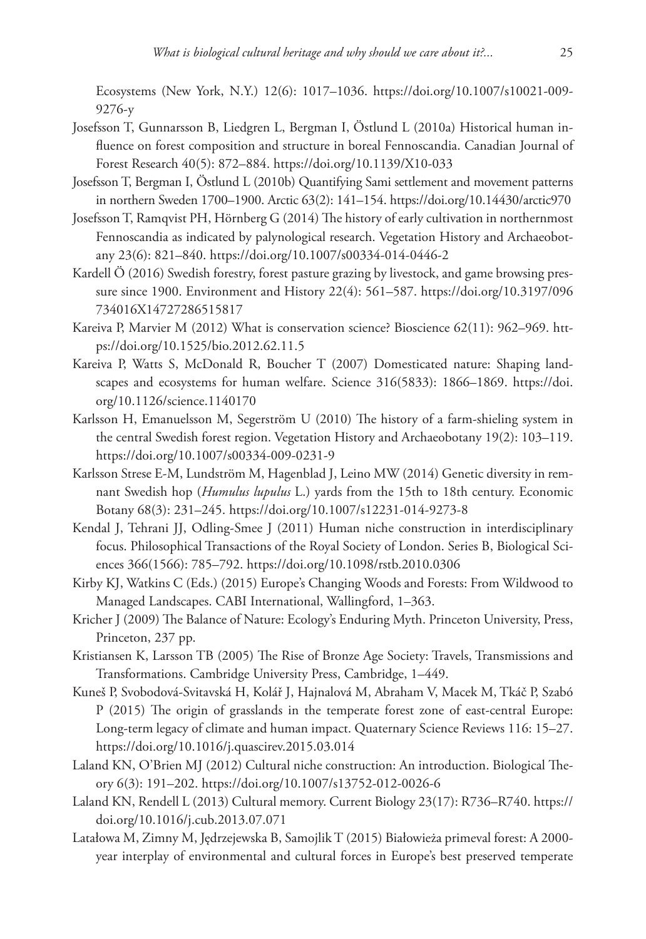Ecosystems (New York, N.Y.) 12(6): 1017–1036. [https://doi.org/10.1007/s10021-009-](https://doi.org/10.1007/s10021-009-9276-y) [9276-y](https://doi.org/10.1007/s10021-009-9276-y)

- Josefsson T, Gunnarsson B, Liedgren L, Bergman I, Östlund L (2010a) Historical human influence on forest composition and structure in boreal Fennoscandia. Canadian Journal of Forest Research 40(5): 872–884.<https://doi.org/10.1139/X10-033>
- Josefsson T, Bergman I, Östlund L (2010b) Quantifying Sami settlement and movement patterns in northern Sweden 1700–1900. Arctic 63(2): 141–154.<https://doi.org/10.14430/arctic970>
- Josefsson T, Ramqvist PH, Hörnberg G (2014) The history of early cultivation in northernmost Fennoscandia as indicated by palynological research. Vegetation History and Archaeobotany 23(6): 821–840.<https://doi.org/10.1007/s00334-014-0446-2>
- Kardell Ö (2016) Swedish forestry, forest pasture grazing by livestock, and game browsing pressure since 1900. Environment and History 22(4): 561–587. [https://doi.org/10.3197/096](https://doi.org/10.3197/096734016X14727286515817) [734016X14727286515817](https://doi.org/10.3197/096734016X14727286515817)
- Kareiva P, Marvier M (2012) What is conservation science? Bioscience 62(11): 962–969. [htt](https://doi.org/10.1525/bio.2012.62.11.5)[ps://doi.org/10.1525/bio.2012.62.11.5](https://doi.org/10.1525/bio.2012.62.11.5)
- Kareiva P, Watts S, McDonald R, Boucher T (2007) Domesticated nature: Shaping landscapes and ecosystems for human welfare. Science 316(5833): 1866–1869. [https://doi.](https://doi.org/10.1126/science.1140170) [org/10.1126/science.1140170](https://doi.org/10.1126/science.1140170)
- Karlsson H, Emanuelsson M, Segerström U (2010) The history of a farm-shieling system in the central Swedish forest region. Vegetation History and Archaeobotany 19(2): 103–119. <https://doi.org/10.1007/s00334-009-0231-9>
- Karlsson Strese E-M, Lundström M, Hagenblad J, Leino MW (2014) Genetic diversity in remnant Swedish hop (*Humulus lupulus* L.) yards from the 15th to 18th century. Economic Botany 68(3): 231–245. <https://doi.org/10.1007/s12231-014-9273-8>
- Kendal J, Tehrani JJ, Odling-Smee J (2011) Human niche construction in interdisciplinary focus. Philosophical Transactions of the Royal Society of London. Series B, Biological Sciences 366(1566): 785–792. <https://doi.org/10.1098/rstb.2010.0306>
- Kirby KJ, Watkins C (Eds.) (2015) Europe's Changing Woods and Forests: From Wildwood to Managed Landscapes. CABI International, Wallingford, 1–363.
- Kricher J (2009) The Balance of Nature: Ecology's Enduring Myth. Princeton University, Press, Princeton, 237 pp.
- Kristiansen K, Larsson TB (2005) The Rise of Bronze Age Society: Travels, Transmissions and Transformations. Cambridge University Press, Cambridge, 1–449.
- Kuneš P, Svobodová-Svitavská H, Kolář J, Hajnalová M, Abraham V, Macek M, Tkáč P, Szabó P (2015) The origin of grasslands in the temperate forest zone of east-central Europe: Long-term legacy of climate and human impact. Quaternary Science Reviews 116: 15–27. <https://doi.org/10.1016/j.quascirev.2015.03.014>
- Laland KN, O'Brien MJ (2012) Cultural niche construction: An introduction. Biological Theory 6(3): 191–202.<https://doi.org/10.1007/s13752-012-0026-6>
- Laland KN, Rendell L (2013) Cultural memory. Current Biology 23(17): R736–R740. [https://](https://doi.org/10.1016/j.cub.2013.07.071) [doi.org/10.1016/j.cub.2013.07.071](https://doi.org/10.1016/j.cub.2013.07.071)
- Latałowa M, Zimny M, Jędrzejewska B, Samojlik T (2015) Białowieża primeval forest: A 2000 year interplay of environmental and cultural forces in Europe's best preserved temperate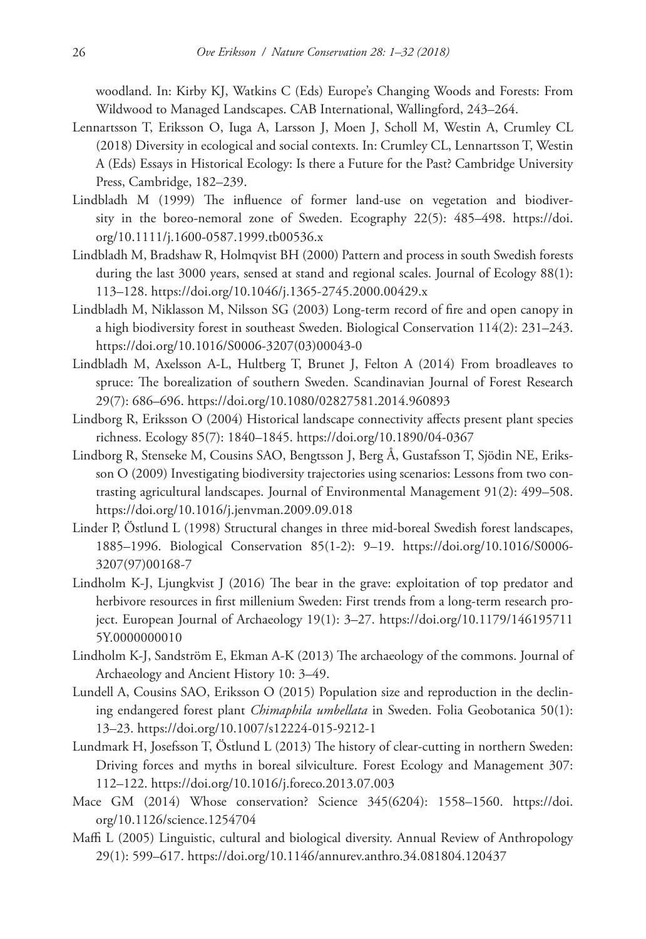woodland. In: Kirby KJ, Watkins C (Eds) Europe's Changing Woods and Forests: From Wildwood to Managed Landscapes. CAB International, Wallingford, 243–264.

- Lennartsson T, Eriksson O, Iuga A, Larsson J, Moen J, Scholl M, Westin A, Crumley CL (2018) Diversity in ecological and social contexts. In: Crumley CL, Lennartsson T, Westin A (Eds) Essays in Historical Ecology: Is there a Future for the Past? Cambridge University Press, Cambridge, 182–239.
- Lindbladh M (1999) The influence of former land-use on vegetation and biodiversity in the boreo-nemoral zone of Sweden. Ecography 22(5): 485–498. [https://doi.](https://doi.org/10.1111/j.1600-0587.1999.tb00536.x) [org/10.1111/j.1600-0587.1999.tb00536.x](https://doi.org/10.1111/j.1600-0587.1999.tb00536.x)
- Lindbladh M, Bradshaw R, Holmqvist BH (2000) Pattern and process in south Swedish forests during the last 3000 years, sensed at stand and regional scales. Journal of Ecology 88(1): 113–128.<https://doi.org/10.1046/j.1365-2745.2000.00429.x>
- Lindbladh M, Niklasson M, Nilsson SG (2003) Long-term record of fire and open canopy in a high biodiversity forest in southeast Sweden. Biological Conservation 114(2): 231–243. [https://doi.org/10.1016/S0006-3207\(03\)00043-0](https://doi.org/10.1016/S0006-3207(03)00043-0)
- Lindbladh M, Axelsson A-L, Hultberg T, Brunet J, Felton A (2014) From broadleaves to spruce: The borealization of southern Sweden. Scandinavian Journal of Forest Research 29(7): 686–696. <https://doi.org/10.1080/02827581.2014.960893>
- Lindborg R, Eriksson O (2004) Historical landscape connectivity affects present plant species richness. Ecology 85(7): 1840–1845. <https://doi.org/10.1890/04-0367>
- Lindborg R, Stenseke M, Cousins SAO, Bengtsson J, Berg Å, Gustafsson T, Sjödin NE, Eriksson O (2009) Investigating biodiversity trajectories using scenarios: Lessons from two contrasting agricultural landscapes. Journal of Environmental Management 91(2): 499–508. <https://doi.org/10.1016/j.jenvman.2009.09.018>
- Linder P, Östlund L (1998) Structural changes in three mid-boreal Swedish forest landscapes, 1885–1996. Biological Conservation 85(1-2): 9–19. [https://doi.org/10.1016/S0006-](https://doi.org/10.1016/S0006-3207(97)00168-7) [3207\(97\)00168-7](https://doi.org/10.1016/S0006-3207(97)00168-7)
- Lindholm K-J, Ljungkvist J (2016) The bear in the grave: exploitation of top predator and herbivore resources in first millenium Sweden: First trends from a long-term research project. European Journal of Archaeology 19(1): 3–27. [https://doi.org/10.1179/146195711](https://doi.org/10.1179/1461957115Y.0000000010) [5Y.0000000010](https://doi.org/10.1179/1461957115Y.0000000010)
- Lindholm K-J, Sandström E, Ekman A-K (2013) The archaeology of the commons. Journal of Archaeology and Ancient History 10: 3–49.
- Lundell A, Cousins SAO, Eriksson O (2015) Population size and reproduction in the declining endangered forest plant *Chimaphila umbellata* in Sweden. Folia Geobotanica 50(1): 13–23.<https://doi.org/10.1007/s12224-015-9212-1>
- Lundmark H, Josefsson T, Östlund L (2013) The history of clear-cutting in northern Sweden: Driving forces and myths in boreal silviculture. Forest Ecology and Management 307: 112–122.<https://doi.org/10.1016/j.foreco.2013.07.003>
- Mace GM (2014) Whose conservation? Science 345(6204): 1558–1560. [https://doi.](https://doi.org/10.1126/science.1254704) [org/10.1126/science.1254704](https://doi.org/10.1126/science.1254704)
- Maffi L (2005) Linguistic, cultural and biological diversity. Annual Review of Anthropology 29(1): 599–617. <https://doi.org/10.1146/annurev.anthro.34.081804.120437>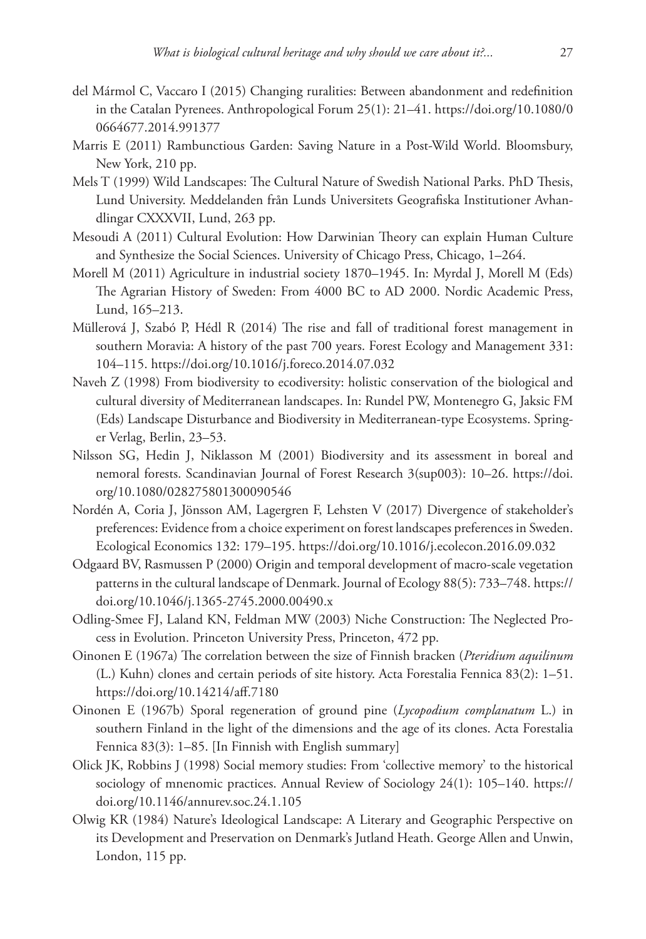- del Mármol C, Vaccaro I (2015) Changing ruralities: Between abandonment and redefinition in the Catalan Pyrenees. Anthropological Forum 25(1): 21–41. [https://doi.org/10.1080/0](https://doi.org/10.1080/00664677.2014.991377) [0664677.2014.991377](https://doi.org/10.1080/00664677.2014.991377)
- Marris E (2011) Rambunctious Garden: Saving Nature in a Post-Wild World. Bloomsbury, New York, 210 pp.
- Mels T (1999) Wild Landscapes: The Cultural Nature of Swedish National Parks. PhD Thesis, Lund University. Meddelanden från Lunds Universitets Geografiska Institutioner Avhandlingar CXXXVII, Lund, 263 pp.
- Mesoudi A (2011) Cultural Evolution: How Darwinian Theory can explain Human Culture and Synthesize the Social Sciences. University of Chicago Press, Chicago, 1–264.
- Morell M (2011) Agriculture in industrial society 1870–1945. In: Myrdal J, Morell M (Eds) The Agrarian History of Sweden: From 4000 BC to AD 2000. Nordic Academic Press, Lund, 165–213.
- Müllerová J, Szabó P, Hédl R (2014) The rise and fall of traditional forest management in southern Moravia: A history of the past 700 years. Forest Ecology and Management 331: 104–115.<https://doi.org/10.1016/j.foreco.2014.07.032>
- Naveh Z (1998) From biodiversity to ecodiversity: holistic conservation of the biological and cultural diversity of Mediterranean landscapes. In: Rundel PW, Montenegro G, Jaksic FM (Eds) Landscape Disturbance and Biodiversity in Mediterranean-type Ecosystems. Springer Verlag, Berlin, 23–53.
- Nilsson SG, Hedin J, Niklasson M (2001) Biodiversity and its assessment in boreal and nemoral forests. Scandinavian Journal of Forest Research 3(sup003): 10–26. [https://doi.](https://doi.org/10.1080/028275801300090546) [org/10.1080/028275801300090546](https://doi.org/10.1080/028275801300090546)
- Nordén A, Coria J, Jönsson AM, Lagergren F, Lehsten V (2017) Divergence of stakeholder's preferences: Evidence from a choice experiment on forest landscapes preferences in Sweden. Ecological Economics 132: 179–195.<https://doi.org/10.1016/j.ecolecon.2016.09.032>
- Odgaard BV, Rasmussen P (2000) Origin and temporal development of macro-scale vegetation patterns in the cultural landscape of Denmark. Journal of Ecology 88(5): 733–748. [https://](https://doi.org/10.1046/j.1365-2745.2000.00490.x) [doi.org/10.1046/j.1365-2745.2000.00490.x](https://doi.org/10.1046/j.1365-2745.2000.00490.x)
- Odling-Smee FJ, Laland KN, Feldman MW (2003) Niche Construction: The Neglected Process in Evolution. Princeton University Press, Princeton, 472 pp.
- Oinonen E (1967a) The correlation between the size of Finnish bracken (*Pteridium aquilinum* (L.) Kuhn) clones and certain periods of site history. Acta Forestalia Fennica 83(2): 1–51. <https://doi.org/10.14214/aff.7180>
- Oinonen E (1967b) Sporal regeneration of ground pine (*Lycopodium complanatum* L.) in southern Finland in the light of the dimensions and the age of its clones. Acta Forestalia Fennica 83(3): 1–85. [In Finnish with English summary]
- Olick JK, Robbins J (1998) Social memory studies: From 'collective memory' to the historical sociology of mnenomic practices. Annual Review of Sociology 24(1): 105–140. [https://](https://doi.org/10.1146/annurev.soc.24.1.105) [doi.org/10.1146/annurev.soc.24.1.105](https://doi.org/10.1146/annurev.soc.24.1.105)
- Olwig KR (1984) Nature's Ideological Landscape: A Literary and Geographic Perspective on its Development and Preservation on Denmark's Jutland Heath. George Allen and Unwin, London, 115 pp.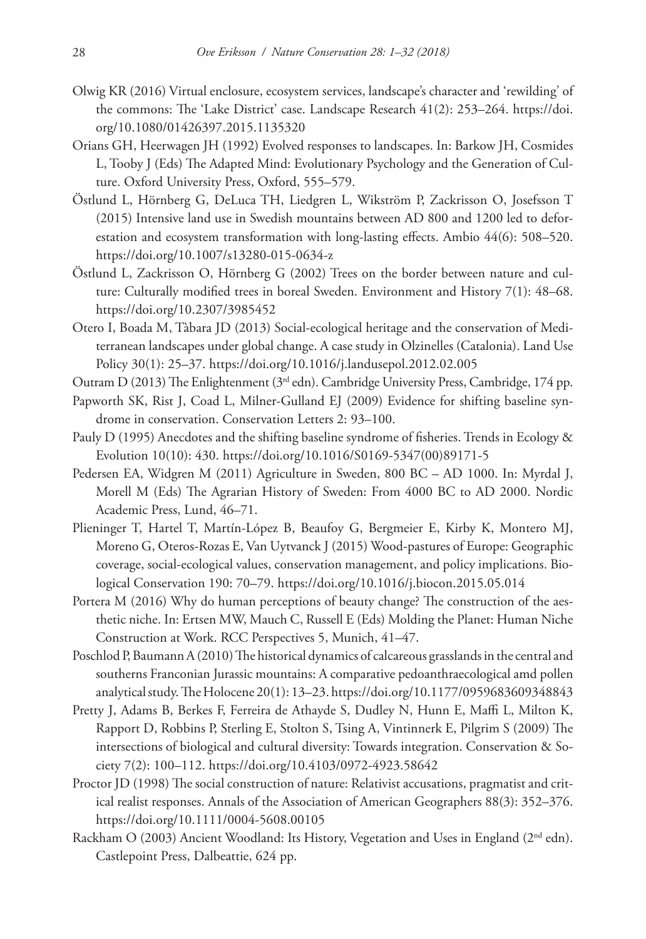- Olwig KR (2016) Virtual enclosure, ecosystem services, landscape's character and 'rewilding' of the commons: The 'Lake District' case. Landscape Research 41(2): 253–264. [https://doi.](https://doi.org/10.1080/01426397.2015.1135320) [org/10.1080/01426397.2015.1135320](https://doi.org/10.1080/01426397.2015.1135320)
- Orians GH, Heerwagen JH (1992) Evolved responses to landscapes. In: Barkow JH, Cosmides L, Tooby J (Eds) The Adapted Mind: Evolutionary Psychology and the Generation of Culture. Oxford University Press, Oxford, 555–579.
- Östlund L, Hörnberg G, DeLuca TH, Liedgren L, Wikström P, Zackrisson O, Josefsson T (2015) Intensive land use in Swedish mountains between AD 800 and 1200 led to deforestation and ecosystem transformation with long-lasting effects. Ambio 44(6): 508–520. <https://doi.org/10.1007/s13280-015-0634-z>
- Östlund L, Zackrisson O, Hörnberg G (2002) Trees on the border between nature and culture: Culturally modified trees in boreal Sweden. Environment and History 7(1): 48–68. <https://doi.org/10.2307/3985452>
- Otero I, Boada M, Tàbara JD (2013) Social-ecological heritage and the conservation of Mediterranean landscapes under global change. A case study in Olzinelles (Catalonia). Land Use Policy 30(1): 25–37. <https://doi.org/10.1016/j.landusepol.2012.02.005>
- Outram D (2013) The Enlightenment ( $3<sup>rd</sup>$  edn). Cambridge University Press, Cambridge, 174 pp.
- Papworth SK, Rist J, Coad L, Milner-Gulland EJ (2009) Evidence for shifting baseline syndrome in conservation. Conservation Letters 2: 93–100.
- Pauly D (1995) Anecdotes and the shifting baseline syndrome of fisheries. Trends in Ecology & Evolution 10(10): 430. [https://doi.org/10.1016/S0169-5347\(00\)89171-5](https://doi.org/10.1016/S0169-5347(00)89171-5)
- Pedersen EA, Widgren M (2011) Agriculture in Sweden, 800 BC AD 1000. In: Myrdal J, Morell M (Eds) The Agrarian History of Sweden: From 4000 BC to AD 2000. Nordic Academic Press, Lund, 46–71.
- Plieninger T, Hartel T, Martín-López B, Beaufoy G, Bergmeier E, Kirby K, Montero MJ, Moreno G, Oteros-Rozas E, Van Uytvanck J (2015) Wood-pastures of Europe: Geographic coverage, social-ecological values, conservation management, and policy implications. Biological Conservation 190: 70–79.<https://doi.org/10.1016/j.biocon.2015.05.014>
- Portera M (2016) Why do human perceptions of beauty change? The construction of the aesthetic niche. In: Ertsen MW, Mauch C, Russell E (Eds) Molding the Planet: Human Niche Construction at Work. RCC Perspectives 5, Munich, 41–47.
- Poschlod P, Baumann A (2010) The historical dynamics of calcareous grasslands in the central and southerns Franconian Jurassic mountains: A comparative pedoanthraecological amd pollen analytical study. The Holocene 20(1): 13–23.<https://doi.org/10.1177/0959683609348843>
- Pretty J, Adams B, Berkes F, Ferreira de Athayde S, Dudley N, Hunn E, Maffi L, Milton K, Rapport D, Robbins P, Sterling E, Stolton S, Tsing A, Vintinnerk E, Pilgrim S (2009) The intersections of biological and cultural diversity: Towards integration. Conservation & Society 7(2): 100–112.<https://doi.org/10.4103/0972-4923.58642>
- Proctor JD (1998) The social construction of nature: Relativist accusations, pragmatist and critical realist responses. Annals of the Association of American Geographers 88(3): 352–376. <https://doi.org/10.1111/0004-5608.00105>
- Rackham O (2003) Ancient Woodland: Its History, Vegetation and Uses in England (2<sup>nd</sup> edn). Castlepoint Press, Dalbeattie, 624 pp.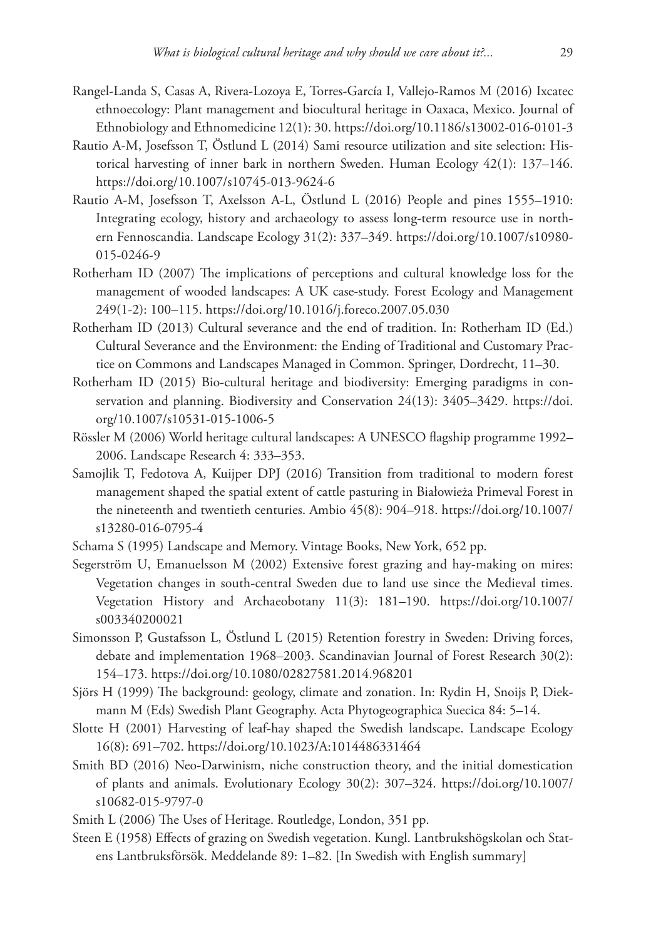- Rangel-Landa S, Casas A, Rivera-Lozoya E, Torres-García I, Vallejo-Ramos M (2016) Ixcatec ethnoecology: Plant management and biocultural heritage in Oaxaca, Mexico. Journal of Ethnobiology and Ethnomedicine 12(1): 30.<https://doi.org/10.1186/s13002-016-0101-3>
- Rautio A-M, Josefsson T, Östlund L (2014) Sami resource utilization and site selection: Historical harvesting of inner bark in northern Sweden. Human Ecology 42(1): 137–146. <https://doi.org/10.1007/s10745-013-9624-6>
- Rautio A-M, Josefsson T, Axelsson A-L, Östlund L (2016) People and pines 1555–1910: Integrating ecology, history and archaeology to assess long-term resource use in northern Fennoscandia. Landscape Ecology 31(2): 337–349. [https://doi.org/10.1007/s10980-](https://doi.org/10.1007/s10980-015-0246-9) [015-0246-9](https://doi.org/10.1007/s10980-015-0246-9)
- Rotherham ID (2007) The implications of perceptions and cultural knowledge loss for the management of wooded landscapes: A UK case-study. Forest Ecology and Management 249(1-2): 100–115.<https://doi.org/10.1016/j.foreco.2007.05.030>
- Rotherham ID (2013) Cultural severance and the end of tradition. In: Rotherham ID (Ed.) Cultural Severance and the Environment: the Ending of Traditional and Customary Practice on Commons and Landscapes Managed in Common. Springer, Dordrecht, 11–30.
- Rotherham ID (2015) Bio-cultural heritage and biodiversity: Emerging paradigms in conservation and planning. Biodiversity and Conservation 24(13): 3405–3429. [https://doi.](https://doi.org/10.1007/s10531-015-1006-5) [org/10.1007/s10531-015-1006-5](https://doi.org/10.1007/s10531-015-1006-5)
- Rössler M (2006) World heritage cultural landscapes: A UNESCO flagship programme 1992– 2006. Landscape Research 4: 333–353.
- Samojlik T, Fedotova A, Kuijper DPJ (2016) Transition from traditional to modern forest management shaped the spatial extent of cattle pasturing in Białowieża Primeval Forest in the nineteenth and twentieth centuries. Ambio 45(8): 904–918. [https://doi.org/10.1007/](https://doi.org/10.1007/s13280-016-0795-4) [s13280-016-0795-4](https://doi.org/10.1007/s13280-016-0795-4)
- Schama S (1995) Landscape and Memory. Vintage Books, New York, 652 pp.
- Segerström U, Emanuelsson M (2002) Extensive forest grazing and hay-making on mires: Vegetation changes in south-central Sweden due to land use since the Medieval times. Vegetation History and Archaeobotany 11(3): 181–190. [https://doi.org/10.1007/](https://doi.org/10.1007/s003340200021) [s003340200021](https://doi.org/10.1007/s003340200021)
- Simonsson P, Gustafsson L, Östlund L (2015) Retention forestry in Sweden: Driving forces, debate and implementation 1968–2003. Scandinavian Journal of Forest Research 30(2): 154–173.<https://doi.org/10.1080/02827581.2014.968201>
- Sjörs H (1999) The background: geology, climate and zonation. In: Rydin H, Snoijs P, Diekmann M (Eds) Swedish Plant Geography. Acta Phytogeographica Suecica 84: 5–14.
- Slotte H (2001) Harvesting of leaf-hay shaped the Swedish landscape. Landscape Ecology 16(8): 691–702. <https://doi.org/10.1023/A:1014486331464>
- Smith BD (2016) Neo-Darwinism, niche construction theory, and the initial domestication of plants and animals. Evolutionary Ecology 30(2): 307–324. [https://doi.org/10.1007/](https://doi.org/10.1007/s10682-015-9797-0) [s10682-015-9797-0](https://doi.org/10.1007/s10682-015-9797-0)
- Smith L (2006) The Uses of Heritage. Routledge, London, 351 pp.
- Steen E (1958) Effects of grazing on Swedish vegetation. Kungl. Lantbrukshögskolan och Statens Lantbruksförsök. Meddelande 89: 1–82. [In Swedish with English summary]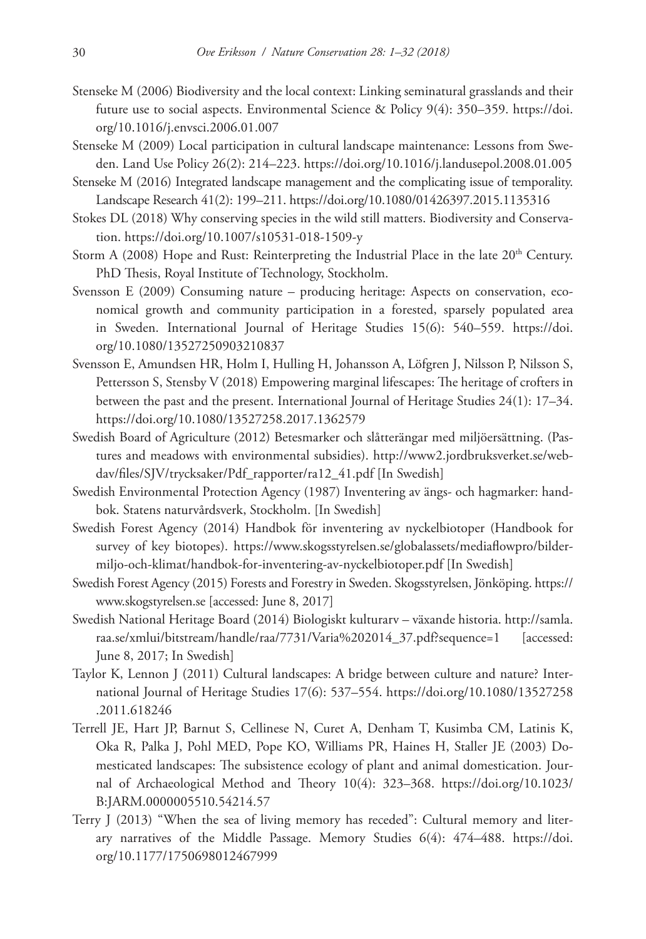- Stenseke M (2006) Biodiversity and the local context: Linking seminatural grasslands and their future use to social aspects. Environmental Science & Policy 9(4): 350–359. [https://doi.](https://doi.org/10.1016/j.envsci.2006.01.007) [org/10.1016/j.envsci.2006.01.007](https://doi.org/10.1016/j.envsci.2006.01.007)
- Stenseke M (2009) Local participation in cultural landscape maintenance: Lessons from Sweden. Land Use Policy 26(2): 214–223.<https://doi.org/10.1016/j.landusepol.2008.01.005>
- Stenseke M (2016) Integrated landscape management and the complicating issue of temporality. Landscape Research 41(2): 199–211. <https://doi.org/10.1080/01426397.2015.1135316>
- Stokes DL (2018) Why conserving species in the wild still matters. Biodiversity and Conservation.<https://doi.org/10.1007/s10531-018-1509-y>
- Storm A (2008) Hope and Rust: Reinterpreting the Industrial Place in the late  $20<sup>th</sup>$  Century. PhD Thesis, Royal Institute of Technology, Stockholm.
- Svensson E (2009) Consuming nature producing heritage: Aspects on conservation, economical growth and community participation in a forested, sparsely populated area in Sweden. International Journal of Heritage Studies 15(6): 540–559. [https://doi.](https://doi.org/10.1080/13527250903210837) [org/10.1080/13527250903210837](https://doi.org/10.1080/13527250903210837)
- Svensson E, Amundsen HR, Holm I, Hulling H, Johansson A, Löfgren J, Nilsson P, Nilsson S, Pettersson S, Stensby V (2018) Empowering marginal lifescapes: The heritage of crofters in between the past and the present. International Journal of Heritage Studies 24(1): 17–34. <https://doi.org/10.1080/13527258.2017.1362579>
- Swedish Board of Agriculture (2012) Betesmarker och slåtterängar med miljöersättning. (Pastures and meadows with environmental subsidies). [http://www2.jordbruksverket.se/web](http://www2.jordbruksverket.se/webdav/files/SJV/trycksaker/Pdf_rapporter/ra12_41.pdf)[dav/files/SJV/trycksaker/Pdf\\_rapporter/ra12\\_41.pdf](http://www2.jordbruksverket.se/webdav/files/SJV/trycksaker/Pdf_rapporter/ra12_41.pdf) [In Swedish]
- Swedish Environmental Protection Agency (1987) Inventering av ängs- och hagmarker: handbok. Statens naturvårdsverk, Stockholm. [In Swedish]
- Swedish Forest Agency (2014) Handbok för inventering av nyckelbiotoper (Handbook for survey of key biotopes). [https://www.skogsstyrelsen.se/globalassets/mediaflowpro/bilder](https://www.skogsstyrelsen.se/globalassets/mediaflowpro/bilder-miljo-och-klimat/handbok-for-inventering-av-nyckelbiotoper.pdf)[miljo-och-klimat/handbok-for-inventering-av-nyckelbiotoper.pdf](https://www.skogsstyrelsen.se/globalassets/mediaflowpro/bilder-miljo-och-klimat/handbok-for-inventering-av-nyckelbiotoper.pdf) [In Swedish]
- Swedish Forest Agency (2015) Forests and Forestry in Sweden. Skogsstyrelsen, Jönköping. [https://](https://www.skogstyrelsen.se) [www.skogstyrelsen.se](https://www.skogstyrelsen.se) [accessed: June 8, 2017]
- Swedish National Heritage Board (2014) Biologiskt kulturarv växande historia. [http://samla.](http://samla.raa.se/xmlui/bitstream/handle/raa/7731/Varia%202014_37.pdf?sequence=1) [raa.se/xmlui/bitstream/handle/raa/7731/Varia%202014\\_37.pdf?sequence=1](http://samla.raa.se/xmlui/bitstream/handle/raa/7731/Varia%202014_37.pdf?sequence=1) [accessed: June 8, 2017; In Swedish]
- Taylor K, Lennon J (2011) Cultural landscapes: A bridge between culture and nature? International Journal of Heritage Studies 17(6): 537–554. [https://doi.org/10.1080/13527258](https://doi.org/10.1080/13527258.2011.618246) [.2011.618246](https://doi.org/10.1080/13527258.2011.618246)
- Terrell JE, Hart JP, Barnut S, Cellinese N, Curet A, Denham T, Kusimba CM, Latinis K, Oka R, Palka J, Pohl MED, Pope KO, Williams PR, Haines H, Staller JE (2003) Domesticated landscapes: The subsistence ecology of plant and animal domestication. Journal of Archaeological Method and Theory 10(4): 323–368. [https://doi.org/10.1023/](https://doi.org/10.1023/B:JARM.0000005510.54214.57) [B:JARM.0000005510.54214.57](https://doi.org/10.1023/B:JARM.0000005510.54214.57)
- Terry J (2013) "When the sea of living memory has receded": Cultural memory and literary narratives of the Middle Passage. Memory Studies 6(4): 474–488. [https://doi.](https://doi.org/10.1177/1750698012467999) [org/10.1177/1750698012467999](https://doi.org/10.1177/1750698012467999)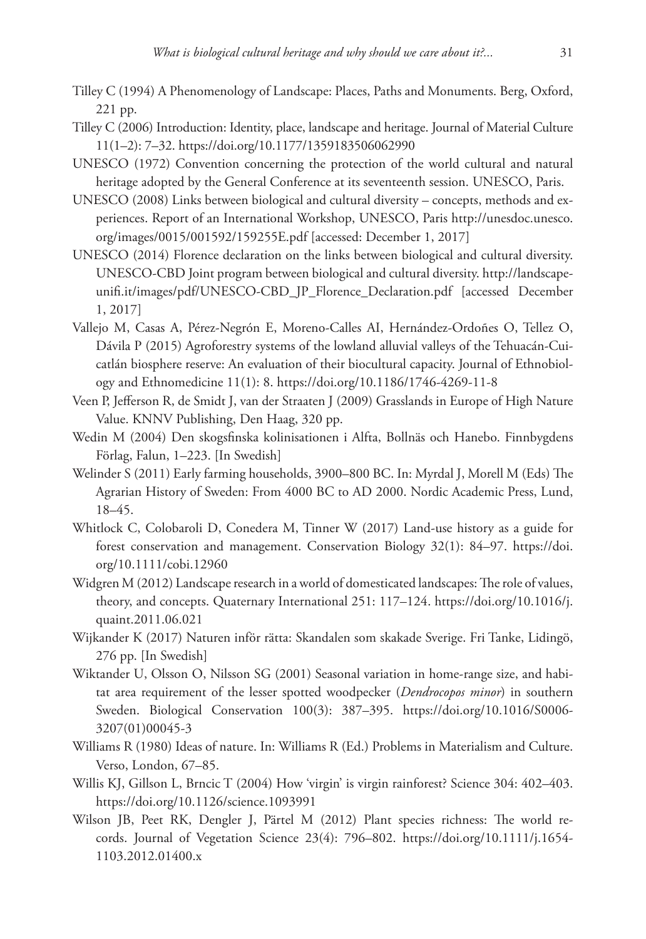- Tilley C (1994) A Phenomenology of Landscape: Places, Paths and Monuments. Berg, Oxford, 221 pp.
- Tilley C (2006) Introduction: Identity, place, landscape and heritage. Journal of Material Culture 11(1–2): 7–32.<https://doi.org/10.1177/1359183506062990>
- UNESCO (1972) Convention concerning the protection of the world cultural and natural heritage adopted by the General Conference at its seventeenth session. UNESCO, Paris.
- UNESCO (2008) Links between biological and cultural diversity concepts, methods and experiences. Report of an International Workshop, UNESCO, Paris [http://unesdoc.unesco.](http://unesdoc.unesco.org/images/0015/001592/159255E.pdf) [org/images/0015/001592/159255E.pdf](http://unesdoc.unesco.org/images/0015/001592/159255E.pdf) [accessed: December 1, 2017]
- UNESCO (2014) Florence declaration on the links between biological and cultural diversity. UNESCO-CBD Joint program between biological and cultural diversity. [http://landscape](http://landscapeunifi.it/images/pdf/UNESCO-CBD_JP_Florence_Declaration.pdf)[unifi.it/images/pdf/UNESCO-CBD\\_JP\\_Florence\\_Declaration.pdf](http://landscapeunifi.it/images/pdf/UNESCO-CBD_JP_Florence_Declaration.pdf) [accessed December 1, 2017]
- Vallejo M, Casas A, Pérez-Negrón E, Moreno-Calles AI, Hernández-Ordoñes O, Tellez O, Dávila P (2015) Agroforestry systems of the lowland alluvial valleys of the Tehuacán-Cuicatlán biosphere reserve: An evaluation of their biocultural capacity. Journal of Ethnobiology and Ethnomedicine 11(1): 8. <https://doi.org/10.1186/1746-4269-11-8>
- Veen P, Jefferson R, de Smidt J, van der Straaten J (2009) Grasslands in Europe of High Nature Value. KNNV Publishing, Den Haag, 320 pp.
- Wedin M (2004) Den skogsfinska kolinisationen i Alfta, Bollnäs och Hanebo. Finnbygdens Förlag, Falun, 1–223. [In Swedish]
- Welinder S (2011) Early farming households, 3900–800 BC. In: Myrdal J, Morell M (Eds) The Agrarian History of Sweden: From 4000 BC to AD 2000. Nordic Academic Press, Lund, 18–45.
- Whitlock C, Colobaroli D, Conedera M, Tinner W (2017) Land-use history as a guide for forest conservation and management. Conservation Biology 32(1): 84–97. [https://doi.](https://doi.org/10.1111/cobi.12960) [org/10.1111/cobi.12960](https://doi.org/10.1111/cobi.12960)
- Widgren M (2012) Landscape research in a world of domesticated landscapes: The role of values, theory, and concepts. Quaternary International 251: 117–124. [https://doi.org/10.1016/j.](https://doi.org/10.1016/j.quaint.2011.06.021) [quaint.2011.06.021](https://doi.org/10.1016/j.quaint.2011.06.021)
- Wijkander K (2017) Naturen inför rätta: Skandalen som skakade Sverige. Fri Tanke, Lidingö, 276 pp. [In Swedish]
- Wiktander U, Olsson O, Nilsson SG (2001) Seasonal variation in home-range size, and habitat area requirement of the lesser spotted woodpecker (*Dendrocopos minor*) in southern Sweden. Biological Conservation 100(3): 387–395. [https://doi.org/10.1016/S0006-](https://doi.org/10.1016/S0006-3207(01)00045-3) [3207\(01\)00045-3](https://doi.org/10.1016/S0006-3207(01)00045-3)
- Williams R (1980) Ideas of nature. In: Williams R (Ed.) Problems in Materialism and Culture. Verso, London, 67–85.
- Willis KJ, Gillson L, Brncic T (2004) How 'virgin' is virgin rainforest? Science 304: 402–403. <https://doi.org/10.1126/science.1093991>
- Wilson JB, Peet RK, Dengler J, Pärtel M (2012) Plant species richness: The world records. Journal of Vegetation Science 23(4): 796–802. [https://doi.org/10.1111/j.1654-](https://doi.org/10.1111/j.1654-1103.2012.01400.x) [1103.2012.01400.x](https://doi.org/10.1111/j.1654-1103.2012.01400.x)